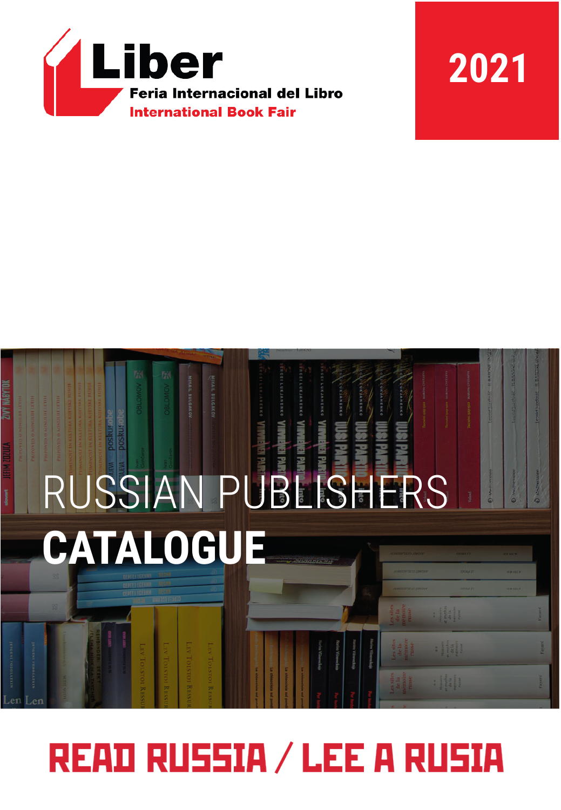

# **2021**



# **READ RUSSIA / LEE A RUSIA**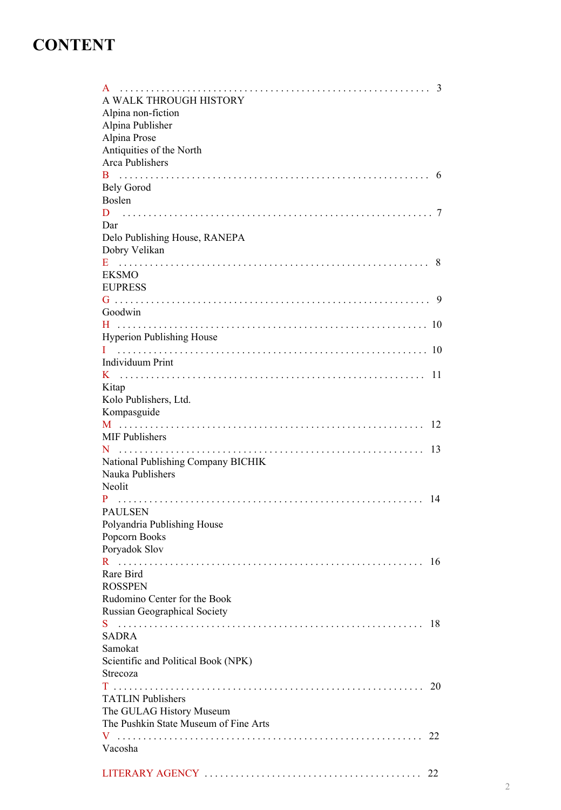# **CONTENT**

| 3<br>A WALK THROUGH HISTORY<br>Alpina non-fiction                 |
|-------------------------------------------------------------------|
| Alpina Publisher<br>Alpina Prose                                  |
| Antiquities of the North                                          |
| Arca Publishers<br>- 6                                            |
| Bely Gorod<br>Boslen                                              |
| Dar                                                               |
| Delo Publishing House, RANEPA<br>Dobry Velikan<br>- 8             |
| EKSMO<br><b>EUPRESS</b>                                           |
| Goodwin                                                           |
| <b>Hyperion Publishing House</b>                                  |
| Individuum Print                                                  |
|                                                                   |
| Kitap<br>Kolo Publishers, Ltd.                                    |
| Kompasguide<br>12                                                 |
| MIF Publishers<br>13                                              |
| National Publishing Company BICHIK<br>Nauka Publishers<br>Neolit  |
| 14                                                                |
| <b>PAULSEN</b><br>Polyandria Publishing House<br>Popcorn Books    |
| Poryadok Slov<br>R.<br>16                                         |
| Rare Bird<br><b>ROSSPEN</b>                                       |
| Rudomino Center for the Book<br>Russian Geographical Society      |
| 18                                                                |
| <b>SADRA</b><br>Samokat                                           |
| Scientific and Political Book (NPK)<br>Strecoza                   |
| 20<br><b>TATLIN</b> Publishers                                    |
| The GULAG History Museum<br>The Pushkin State Museum of Fine Arts |
| 22<br>Vacosha                                                     |
| 22                                                                |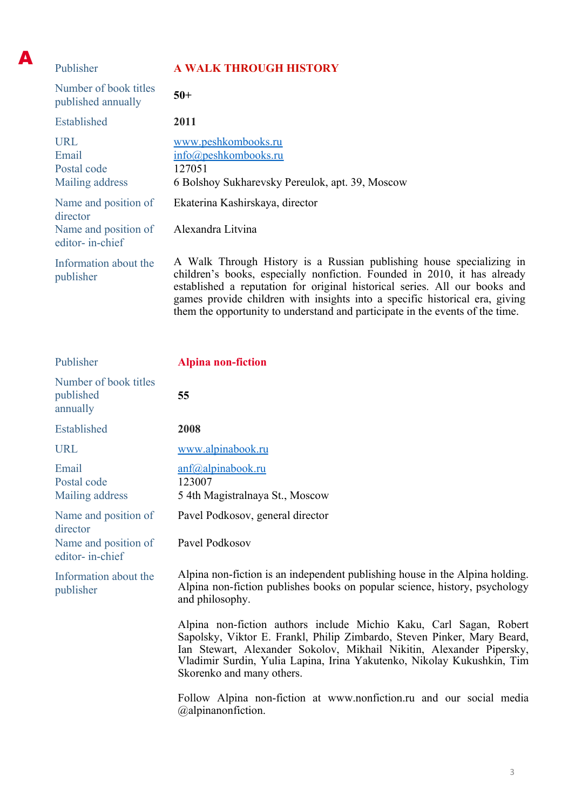| Publisher                                             | <b>A WALK THROUGH HISTORY</b>                                                                                                                                                                                                                                                                                 |
|-------------------------------------------------------|---------------------------------------------------------------------------------------------------------------------------------------------------------------------------------------------------------------------------------------------------------------------------------------------------------------|
| Number of book titles<br>published annually           | $50+$                                                                                                                                                                                                                                                                                                         |
| Established                                           | 2011                                                                                                                                                                                                                                                                                                          |
| <b>URL</b><br>Email<br>Postal code<br>Mailing address | www.peshkombooks.ru<br>$info(\omega)$ peshkombooks.ru<br>127051<br>6 Bolshoy Sukharevsky Pereulok, apt. 39, Moscow                                                                                                                                                                                            |
| Name and position of<br>director                      | Ekaterina Kashirskaya, director                                                                                                                                                                                                                                                                               |
| Name and position of<br>editor- in-chief              | Alexandra Litvina                                                                                                                                                                                                                                                                                             |
| Information about the<br>publisher                    | A Walk Through History is a Russian publishing house specializing in<br>children's books, especially nonfiction. Founded in 2010, it has already<br>established a reputation for original historical series. All our books and<br>games provide children with insights into a specific historical era, giving |

them the opportunity to understand and participate in the events of the time.

A

| Publisher                                                                   | <b>Alpina non-fiction</b>                                                                                                                                                                                                                                                                                                    |
|-----------------------------------------------------------------------------|------------------------------------------------------------------------------------------------------------------------------------------------------------------------------------------------------------------------------------------------------------------------------------------------------------------------------|
| Number of book titles<br>published<br>annually                              | 55                                                                                                                                                                                                                                                                                                                           |
| Established                                                                 | 2008                                                                                                                                                                                                                                                                                                                         |
| <b>URL</b>                                                                  | www.alpinabook.ru                                                                                                                                                                                                                                                                                                            |
| Email<br>Postal code<br>Mailing address                                     | $anf(\partial)$ alpinabook.ru<br>123007<br>5 4th Magistralnaya St., Moscow                                                                                                                                                                                                                                                   |
| Name and position of<br>director<br>Name and position of<br>editor-in-chief | Pavel Podkosov, general director<br>Pavel Podkosov                                                                                                                                                                                                                                                                           |
| Information about the<br>publisher                                          | Alpina non-fiction is an independent publishing house in the Alpina holding.<br>Alpina non-fiction publishes books on popular science, history, psychology<br>and philosophy.                                                                                                                                                |
|                                                                             | Alpina non-fiction authors include Michio Kaku, Carl Sagan, Robert<br>Sapolsky, Viktor E. Frankl, Philip Zimbardo, Steven Pinker, Mary Beard,<br>Ian Stewart, Alexander Sokolov, Mikhail Nikitin, Alexander Pipersky,<br>Vladimir Surdin, Yulia Lapina, Irina Yakutenko, Nikolay Kukushkin, Tim<br>Skorenko and many others. |
|                                                                             | Follow Alpina non-fiction at www.nonfiction.ru and our social media<br>@alpinanonfiction.                                                                                                                                                                                                                                    |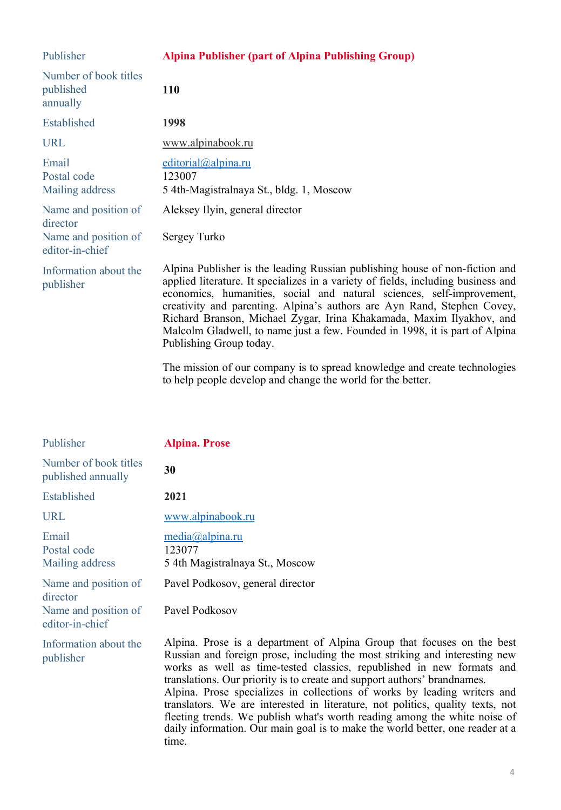| Publisher                                                                   | <b>Alpina Publisher (part of Alpina Publishing Group)</b>                                                                                                                                                                                                                                                                                                                                                                                                                                              |
|-----------------------------------------------------------------------------|--------------------------------------------------------------------------------------------------------------------------------------------------------------------------------------------------------------------------------------------------------------------------------------------------------------------------------------------------------------------------------------------------------------------------------------------------------------------------------------------------------|
| Number of book titles<br>published<br>annually                              | 110                                                                                                                                                                                                                                                                                                                                                                                                                                                                                                    |
| Established                                                                 | 1998                                                                                                                                                                                                                                                                                                                                                                                                                                                                                                   |
| <b>URL</b>                                                                  | www.alpinabook.ru                                                                                                                                                                                                                                                                                                                                                                                                                                                                                      |
| Email<br>Postal code<br>Mailing address                                     | editorial@alpina.ru<br>123007<br>5 4th-Magistralnaya St., bldg. 1, Moscow                                                                                                                                                                                                                                                                                                                                                                                                                              |
| Name and position of<br>director<br>Name and position of<br>editor-in-chief | Aleksey Ilyin, general director<br>Sergey Turko                                                                                                                                                                                                                                                                                                                                                                                                                                                        |
| Information about the<br>publisher                                          | Alpina Publisher is the leading Russian publishing house of non-fiction and<br>applied literature. It specializes in a variety of fields, including business and<br>economics, humanities, social and natural sciences, self-improvement,<br>creativity and parenting. Alpina's authors are Ayn Rand, Stephen Covey,<br>Richard Branson, Michael Zygar, Irina Khakamada, Maxim Ilyakhov, and<br>Malcolm Gladwell, to name just a few. Founded in 1998, it is part of Alpina<br>Publishing Group today. |

The mission of our company is to spread knowledge and create technologies to help people develop and change the world for the better.

| Publisher                                                | <b>Alpina. Prose</b>                                                                                                                                                                                                                                                                                                                                                                                                                                                                                                                                                                                                                  |
|----------------------------------------------------------|---------------------------------------------------------------------------------------------------------------------------------------------------------------------------------------------------------------------------------------------------------------------------------------------------------------------------------------------------------------------------------------------------------------------------------------------------------------------------------------------------------------------------------------------------------------------------------------------------------------------------------------|
| Number of book titles<br>published annually              | 30                                                                                                                                                                                                                                                                                                                                                                                                                                                                                                                                                                                                                                    |
| Established                                              | 2021                                                                                                                                                                                                                                                                                                                                                                                                                                                                                                                                                                                                                                  |
| <b>URL</b>                                               | www.alpinabook.ru                                                                                                                                                                                                                                                                                                                                                                                                                                                                                                                                                                                                                     |
| Email<br>Postal code<br>Mailing address                  | $media(a)$ alpina.ru<br>123077<br>5 4th Magistralnaya St., Moscow                                                                                                                                                                                                                                                                                                                                                                                                                                                                                                                                                                     |
| Name and position of<br>director<br>Name and position of | Pavel Podkosov, general director<br>Pavel Podkosov                                                                                                                                                                                                                                                                                                                                                                                                                                                                                                                                                                                    |
| editor-in-chief<br>Information about the<br>publisher    | Alpina. Prose is a department of Alpina Group that focuses on the best<br>Russian and foreign prose, including the most striking and interesting new<br>works as well as time-tested classics, republished in new formats and<br>translations. Our priority is to create and support authors' brandnames.<br>Alpina. Prose specializes in collections of works by leading writers and<br>translators. We are interested in literature, not politics, quality texts, not<br>fleeting trends. We publish what's worth reading among the white noise of<br>daily information. Our main goal is to make the world better, one reader at a |

time.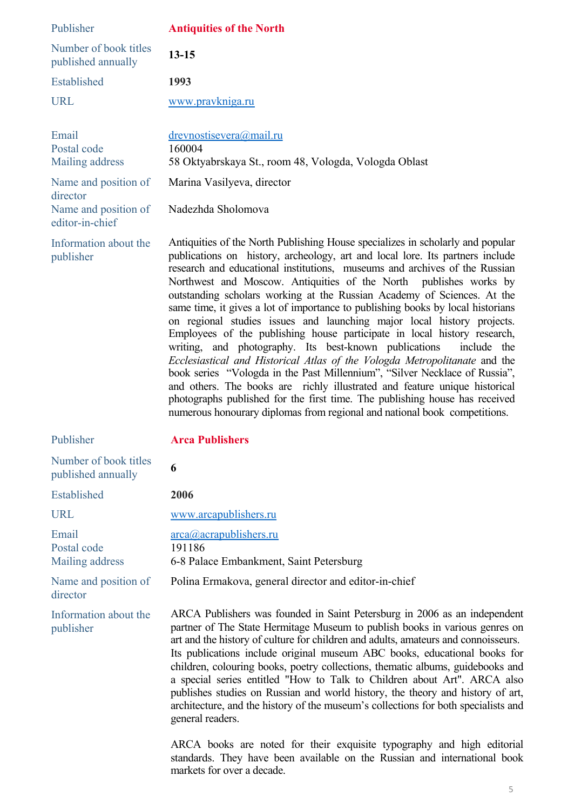| Publisher                                           | <b>Antiquities of the North</b>                                                                                                                                                                                                                                                                                                                                                                                                                                                                                                                                                                                                                                                                                                                                                                                                                                                                                                                                                                                                                                                                                      |
|-----------------------------------------------------|----------------------------------------------------------------------------------------------------------------------------------------------------------------------------------------------------------------------------------------------------------------------------------------------------------------------------------------------------------------------------------------------------------------------------------------------------------------------------------------------------------------------------------------------------------------------------------------------------------------------------------------------------------------------------------------------------------------------------------------------------------------------------------------------------------------------------------------------------------------------------------------------------------------------------------------------------------------------------------------------------------------------------------------------------------------------------------------------------------------------|
| Number of book titles<br>published annually         | $13 - 15$                                                                                                                                                                                                                                                                                                                                                                                                                                                                                                                                                                                                                                                                                                                                                                                                                                                                                                                                                                                                                                                                                                            |
| Established                                         | 1993                                                                                                                                                                                                                                                                                                                                                                                                                                                                                                                                                                                                                                                                                                                                                                                                                                                                                                                                                                                                                                                                                                                 |
| <b>URL</b>                                          | www.pravkniga.ru                                                                                                                                                                                                                                                                                                                                                                                                                                                                                                                                                                                                                                                                                                                                                                                                                                                                                                                                                                                                                                                                                                     |
| Email<br>Postal code<br>Mailing address             | drevnostisevera@mail.ru<br>160004<br>58 Oktyabrskaya St., room 48, Vologda, Vologda Oblast                                                                                                                                                                                                                                                                                                                                                                                                                                                                                                                                                                                                                                                                                                                                                                                                                                                                                                                                                                                                                           |
| Name and position of                                | Marina Vasilyeva, director                                                                                                                                                                                                                                                                                                                                                                                                                                                                                                                                                                                                                                                                                                                                                                                                                                                                                                                                                                                                                                                                                           |
| director<br>Name and position of<br>editor-in-chief | Nadezhda Sholomova                                                                                                                                                                                                                                                                                                                                                                                                                                                                                                                                                                                                                                                                                                                                                                                                                                                                                                                                                                                                                                                                                                   |
| Information about the<br>publisher                  | Antiquities of the North Publishing House specializes in scholarly and popular<br>publications on history, archeology, art and local lore. Its partners include<br>research and educational institutions, museums and archives of the Russian<br>Northwest and Moscow. Antiquities of the North publishes works by<br>outstanding scholars working at the Russian Academy of Sciences. At the<br>same time, it gives a lot of importance to publishing books by local historians<br>on regional studies issues and launching major local history projects.<br>Employees of the publishing house participate in local history research,<br>writing, and photography. Its best-known publications<br>include the<br>Ecclesiastical and Historical Atlas of the Vologda Metropolitanate and the<br>book series "Vologda in the Past Millennium", "Silver Necklace of Russia",<br>and others. The books are richly illustrated and feature unique historical<br>photographs published for the first time. The publishing house has received<br>numerous honourary diplomas from regional and national book competitions. |
| Publisher                                           | <b>Arca Publishers</b>                                                                                                                                                                                                                                                                                                                                                                                                                                                                                                                                                                                                                                                                                                                                                                                                                                                                                                                                                                                                                                                                                               |
| Number of book titles<br>published annually         | 6                                                                                                                                                                                                                                                                                                                                                                                                                                                                                                                                                                                                                                                                                                                                                                                                                                                                                                                                                                                                                                                                                                                    |
| Established                                         | 2006                                                                                                                                                                                                                                                                                                                                                                                                                                                                                                                                                                                                                                                                                                                                                                                                                                                                                                                                                                                                                                                                                                                 |
| <b>URL</b>                                          | www.arcapublishers.ru                                                                                                                                                                                                                                                                                                                                                                                                                                                                                                                                                                                                                                                                                                                                                                                                                                                                                                                                                                                                                                                                                                |
| Email<br>Postal code<br>Mailing address             | arca@acraphlishers.ru<br>191186<br>6-8 Palace Embankment, Saint Petersburg                                                                                                                                                                                                                                                                                                                                                                                                                                                                                                                                                                                                                                                                                                                                                                                                                                                                                                                                                                                                                                           |
| Name and position of<br>director                    | Polina Ermakova, general director and editor-in-chief                                                                                                                                                                                                                                                                                                                                                                                                                                                                                                                                                                                                                                                                                                                                                                                                                                                                                                                                                                                                                                                                |
| Information about the<br>publisher                  | ARCA Publishers was founded in Saint Petersburg in 2006 as an independent<br>partner of The State Hermitage Museum to publish books in various genres on<br>art and the history of culture for children and adults, amateurs and connoisseurs.<br>Its publications include original museum ABC books, educational books for<br>children, colouring books, poetry collections, thematic albums, guidebooks and<br>a special series entitled "How to Talk to Children about Art". ARCA also<br>publishes studies on Russian and world history, the theory and history of art,<br>architecture, and the history of the museum's collections for both specialists and<br>general readers.                                                                                                                                                                                                                                                                                                                                                                                                                                |

ARCA books are noted for their exquisite typography and high editorial standards. They have been available on the Russian and international book markets for over a decade.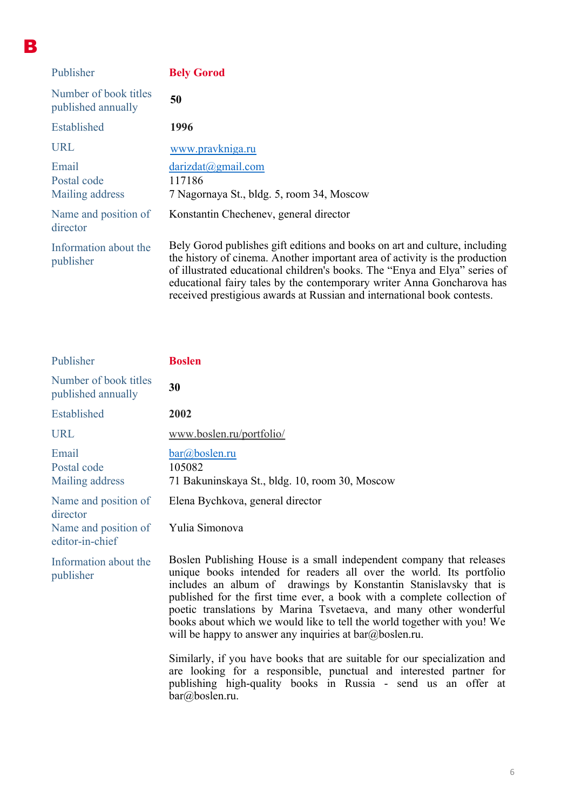| Publisher                                   | <b>Bely Gorod</b>                                                                                                                                                                                                                                                                                                                                                                            |
|---------------------------------------------|----------------------------------------------------------------------------------------------------------------------------------------------------------------------------------------------------------------------------------------------------------------------------------------------------------------------------------------------------------------------------------------------|
| Number of book titles<br>published annually | 50                                                                                                                                                                                                                                                                                                                                                                                           |
| Established                                 | 1996                                                                                                                                                                                                                                                                                                                                                                                         |
| <b>URL</b>                                  | www.pravkniga.ru                                                                                                                                                                                                                                                                                                                                                                             |
| Email<br>Postal code<br>Mailing address     | darizdat@gmail.com<br>117186<br>7 Nagornaya St., bldg. 5, room 34, Moscow                                                                                                                                                                                                                                                                                                                    |
| Name and position of<br>director            | Konstantin Chechenev, general director                                                                                                                                                                                                                                                                                                                                                       |
| Information about the<br>publisher          | Bely Gorod publishes gift editions and books on art and culture, including<br>the history of cinema. Another important area of activity is the production<br>of illustrated educational children's books. The "Enya and Elya" series of<br>educational fairy tales by the contemporary writer Anna Goncharova has<br>received prestigious awards at Russian and international book contests. |

B

| Publisher                                                                   | <b>Boslen</b>                                                                                                                                                                                                                                                                                                                                                                                                                                                                                                                                                                                                                                                                                                                                         |
|-----------------------------------------------------------------------------|-------------------------------------------------------------------------------------------------------------------------------------------------------------------------------------------------------------------------------------------------------------------------------------------------------------------------------------------------------------------------------------------------------------------------------------------------------------------------------------------------------------------------------------------------------------------------------------------------------------------------------------------------------------------------------------------------------------------------------------------------------|
| Number of book titles<br>published annually                                 | 30                                                                                                                                                                                                                                                                                                                                                                                                                                                                                                                                                                                                                                                                                                                                                    |
| Established                                                                 | 2002                                                                                                                                                                                                                                                                                                                                                                                                                                                                                                                                                                                                                                                                                                                                                  |
| <b>URL</b>                                                                  | www.boslen.ru/portfolio/                                                                                                                                                                                                                                                                                                                                                                                                                                                                                                                                                                                                                                                                                                                              |
| Email<br>Postal code<br>Mailing address                                     | $bar(\omega)$ boslen.ru<br>105082<br>71 Bakuninskaya St., bldg. 10, room 30, Moscow                                                                                                                                                                                                                                                                                                                                                                                                                                                                                                                                                                                                                                                                   |
| Name and position of<br>director<br>Name and position of<br>editor-in-chief | Elena Bychkova, general director<br>Yulia Simonova                                                                                                                                                                                                                                                                                                                                                                                                                                                                                                                                                                                                                                                                                                    |
| Information about the<br>publisher                                          | Boslen Publishing House is a small independent company that releases<br>unique books intended for readers all over the world. Its portfolio<br>includes an album of drawings by Konstantin Stanislavsky that is<br>published for the first time ever, a book with a complete collection of<br>poetic translations by Marina Tsvetaeva, and many other wonderful<br>books about which we would like to tell the world together with you! We<br>will be happy to answer any inquiries at $bar(\omega)$ boslen.ru.<br>Similarly, if you have books that are suitable for our specialization and<br>are looking for a responsible, punctual and interested partner for<br>publishing high-quality books in Russia - send us an offer at<br>bar@boslen.ru. |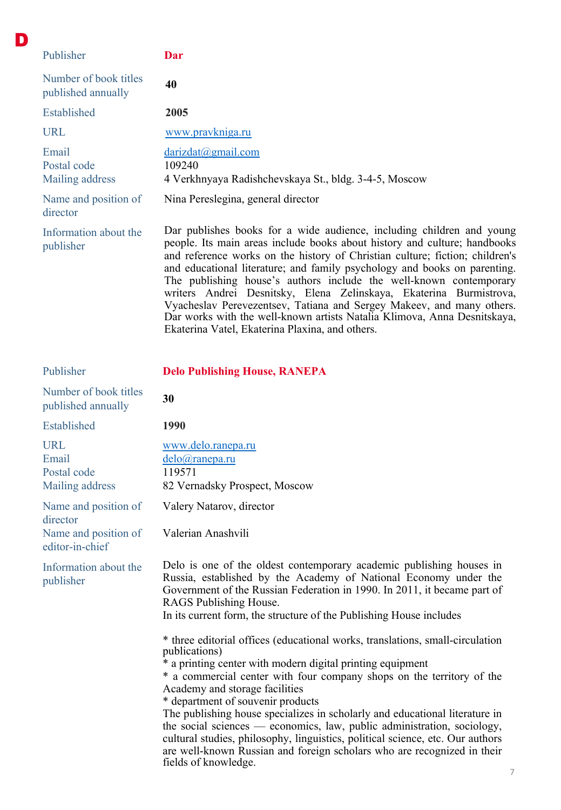| Publisher                                   | Dar                                                                                                                                                                                                                                                                                                                                                                                                                                                                                                                                  |
|---------------------------------------------|--------------------------------------------------------------------------------------------------------------------------------------------------------------------------------------------------------------------------------------------------------------------------------------------------------------------------------------------------------------------------------------------------------------------------------------------------------------------------------------------------------------------------------------|
| Number of book titles<br>published annually | 40                                                                                                                                                                                                                                                                                                                                                                                                                                                                                                                                   |
| Established                                 | 2005                                                                                                                                                                                                                                                                                                                                                                                                                                                                                                                                 |
| <b>URL</b>                                  | www.pravkniga.ru                                                                                                                                                                                                                                                                                                                                                                                                                                                                                                                     |
| Email<br>Postal code<br>Mailing address     | darizdat@gmail.com<br>109240<br>4 Verkhnyaya Radishchevskaya St., bldg. 3-4-5, Moscow                                                                                                                                                                                                                                                                                                                                                                                                                                                |
| Name and position of<br>director            | Nina Pereslegina, general director                                                                                                                                                                                                                                                                                                                                                                                                                                                                                                   |
| Information about the<br>publisher          | Dar publishes books for a wide audience, including children and young<br>people. Its main areas include books about history and culture; handbooks<br>and reference works on the history of Christian culture; fiction; children's<br>and educational literature; and family psychology and books on parenting.<br>The publishing house's authors include the well-known contemporary<br>writers Andrei Desnitsky, Elena Zelinskaya, Ekaterina Burmistrova,<br>Vyacheslav Perevezentsev, Tatiana and Sergey Makeev, and many others. |

D

Ekaterina Vatel, Ekaterina Plaxina, and others.

| Publisher                                             | <b>Delo Publishing House, RANEPA</b>                                                                                                                                                                                                                                                                                                                                                                                                                                                                                                                                                                                                                        |
|-------------------------------------------------------|-------------------------------------------------------------------------------------------------------------------------------------------------------------------------------------------------------------------------------------------------------------------------------------------------------------------------------------------------------------------------------------------------------------------------------------------------------------------------------------------------------------------------------------------------------------------------------------------------------------------------------------------------------------|
| Number of book titles<br>published annually           | 30                                                                                                                                                                                                                                                                                                                                                                                                                                                                                                                                                                                                                                                          |
| Established                                           | 1990                                                                                                                                                                                                                                                                                                                                                                                                                                                                                                                                                                                                                                                        |
| <b>URL</b><br>Email<br>Postal code<br>Mailing address | www.delo.ranepa.ru<br>delo@ranepa.ru<br>119571<br>82 Vernadsky Prospect, Moscow                                                                                                                                                                                                                                                                                                                                                                                                                                                                                                                                                                             |
| Name and position of<br>director                      | Valery Natarov, director                                                                                                                                                                                                                                                                                                                                                                                                                                                                                                                                                                                                                                    |
| Name and position of<br>editor-in-chief               | Valerian Anashvili                                                                                                                                                                                                                                                                                                                                                                                                                                                                                                                                                                                                                                          |
| Information about the<br>publisher                    | Delo is one of the oldest contemporary academic publishing houses in<br>Russia, established by the Academy of National Economy under the<br>Government of the Russian Federation in 1990. In 2011, it became part of<br>RAGS Publishing House.<br>In its current form, the structure of the Publishing House includes                                                                                                                                                                                                                                                                                                                                       |
|                                                       | * three editorial offices (educational works, translations, small-circulation<br>publications)<br>* a printing center with modern digital printing equipment<br>* a commercial center with four company shops on the territory of the<br>Academy and storage facilities<br>* department of souvenir products<br>The publishing house specializes in scholarly and educational literature in<br>the social sciences — economics, law, public administration, sociology,<br>cultural studies, philosophy, linguistics, political science, etc. Our authors<br>are well-known Russian and foreign scholars who are recognized in their<br>fields of knowledge. |

Dar works with the well-known artists Natalia Klimova, Anna Desnitskaya,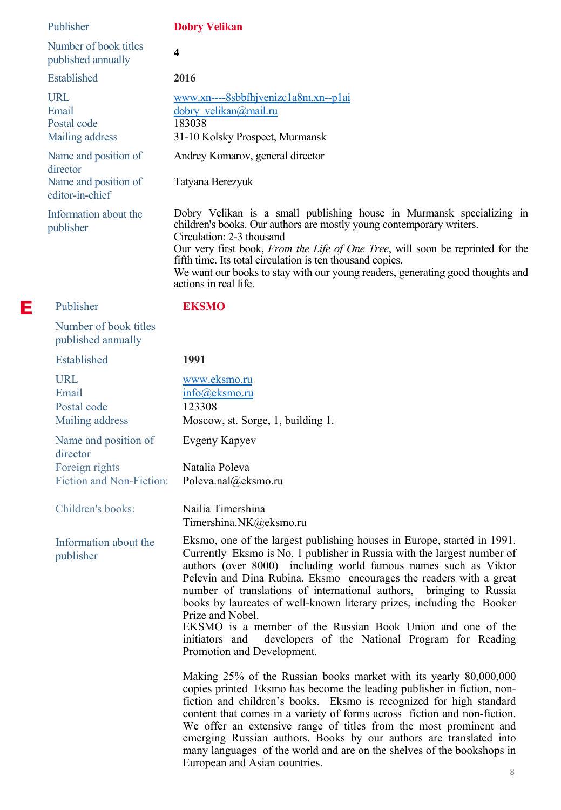| Publisher                                                                   | <b>Dobry Velikan</b>                                                                                                                                                                                                                                                                                                                                                                                                                                                                                                                                                                               |
|-----------------------------------------------------------------------------|----------------------------------------------------------------------------------------------------------------------------------------------------------------------------------------------------------------------------------------------------------------------------------------------------------------------------------------------------------------------------------------------------------------------------------------------------------------------------------------------------------------------------------------------------------------------------------------------------|
| Number of book titles<br>published annually                                 | $\overline{\mathbf{4}}$                                                                                                                                                                                                                                                                                                                                                                                                                                                                                                                                                                            |
| Established                                                                 | 2016                                                                                                                                                                                                                                                                                                                                                                                                                                                                                                                                                                                               |
| <b>URL</b><br>Email<br>Postal code<br>Mailing address                       | $www.xn---8sbbfhjvenize 1a8m.xn-p1ai$<br>dobry velikan@mail.ru<br>183038<br>31-10 Kolsky Prospect, Murmansk                                                                                                                                                                                                                                                                                                                                                                                                                                                                                        |
| Name and position of<br>director<br>Name and position of<br>editor-in-chief | Andrey Komarov, general director<br>Tatyana Berezyuk                                                                                                                                                                                                                                                                                                                                                                                                                                                                                                                                               |
| Information about the<br>publisher                                          | Dobry Velikan is a small publishing house in Murmansk specializing in<br>children's books. Our authors are mostly young contemporary writers.<br>Circulation: 2-3 thousand<br>Our very first book, From the Life of One Tree, will soon be reprinted for the<br>fifth time. Its total circulation is ten thousand copies.<br>We want our books to stay with our young readers, generating good thoughts and<br>actions in real life.                                                                                                                                                               |
| Publisher                                                                   | <b>EKSMO</b>                                                                                                                                                                                                                                                                                                                                                                                                                                                                                                                                                                                       |
| Number of book titles<br>published annually                                 |                                                                                                                                                                                                                                                                                                                                                                                                                                                                                                                                                                                                    |
| Established                                                                 | 1991                                                                                                                                                                                                                                                                                                                                                                                                                                                                                                                                                                                               |
| <b>URL</b><br>Email<br>Postal code<br>Mailing address                       | www.eksmo.ru<br>info@eksmo.ru<br>123308<br>Moscow, st. Sorge, 1, building 1.                                                                                                                                                                                                                                                                                                                                                                                                                                                                                                                       |
| Name and position of<br>director                                            | Evgeny Kapyev                                                                                                                                                                                                                                                                                                                                                                                                                                                                                                                                                                                      |
| Foreign rights<br>Fiction and Non-Fiction: Poleva.nal@eksmo.ru              | Natalia Poleva                                                                                                                                                                                                                                                                                                                                                                                                                                                                                                                                                                                     |
| Children's books:                                                           | Nailia Timershina<br>Timershina.NK@eksmo.ru                                                                                                                                                                                                                                                                                                                                                                                                                                                                                                                                                        |
| Information about the<br>publisher                                          | Eksmo, one of the largest publishing houses in Europe, started in 1991.<br>Currently Eksmo is No. 1 publisher in Russia with the largest number of<br>authors (over 8000) including world famous names such as Viktor<br>Pelevin and Dina Rubina. Eksmo encourages the readers with a great<br>number of translations of international authors, bringing to Russia<br>books by laureates of well-known literary prizes, including the Booker<br>Prize and Nobel.<br>EKSMO is a member of the Russian Book Union and one of the<br>developers of the National Program for Reading<br>initiators and |
|                                                                             | Promotion and Development.<br>Making 25% of the Russian books market with its yearly 80,000,000<br>copies printed Eksmo has become the leading publisher in fiction, non-<br>fiction and children's books. Eksmo is recognized for high standard<br>content that comes in a variety of forms across fiction and non-fiction.<br>We offer an extensive range of titles from the most prominent and<br>emerging Russian authors. Books by our authors are translated into<br>many languages of the world and are on the shelves of the bookshops in                                                  |

E

European and Asian countries.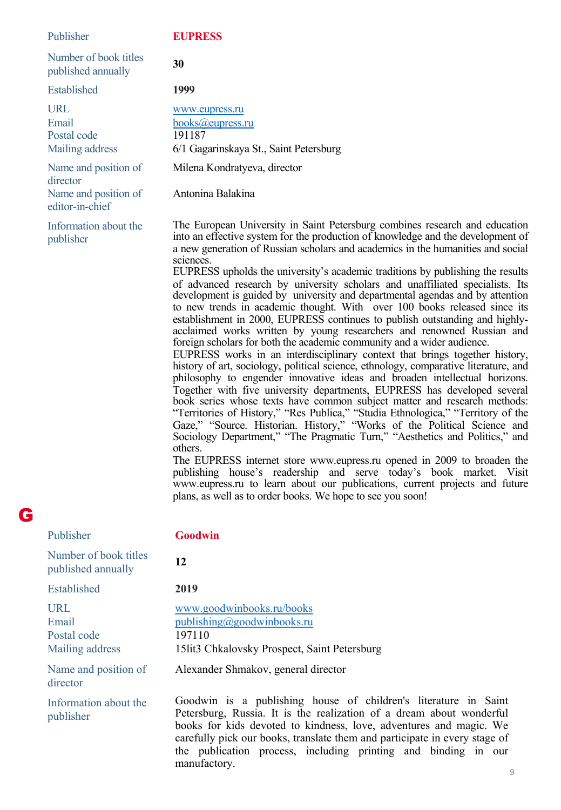| Publisher                                             | <b>EUPRESS</b>                                                                                                                                                                                                                                                                                                                                                                                                                                                                                                                                                                                                                                                                                                                                                                                                                                                                                                                                                                                                                                                                                                                                                                                                                                                                                                                                                                                                                                                                                                                                                                                                                                                                                                                                                                                         |
|-------------------------------------------------------|--------------------------------------------------------------------------------------------------------------------------------------------------------------------------------------------------------------------------------------------------------------------------------------------------------------------------------------------------------------------------------------------------------------------------------------------------------------------------------------------------------------------------------------------------------------------------------------------------------------------------------------------------------------------------------------------------------------------------------------------------------------------------------------------------------------------------------------------------------------------------------------------------------------------------------------------------------------------------------------------------------------------------------------------------------------------------------------------------------------------------------------------------------------------------------------------------------------------------------------------------------------------------------------------------------------------------------------------------------------------------------------------------------------------------------------------------------------------------------------------------------------------------------------------------------------------------------------------------------------------------------------------------------------------------------------------------------------------------------------------------------------------------------------------------------|
| Number of book titles<br>published annually           | 30                                                                                                                                                                                                                                                                                                                                                                                                                                                                                                                                                                                                                                                                                                                                                                                                                                                                                                                                                                                                                                                                                                                                                                                                                                                                                                                                                                                                                                                                                                                                                                                                                                                                                                                                                                                                     |
| Established                                           | 1999                                                                                                                                                                                                                                                                                                                                                                                                                                                                                                                                                                                                                                                                                                                                                                                                                                                                                                                                                                                                                                                                                                                                                                                                                                                                                                                                                                                                                                                                                                                                                                                                                                                                                                                                                                                                   |
| <b>URL</b><br>Email<br>Postal code<br>Mailing address | www.eupress.ru<br>books@eupress.ru<br>191187<br>6/1 Gagarinskaya St., Saint Petersburg                                                                                                                                                                                                                                                                                                                                                                                                                                                                                                                                                                                                                                                                                                                                                                                                                                                                                                                                                                                                                                                                                                                                                                                                                                                                                                                                                                                                                                                                                                                                                                                                                                                                                                                 |
| Name and position of                                  | Milena Kondratyeva, director                                                                                                                                                                                                                                                                                                                                                                                                                                                                                                                                                                                                                                                                                                                                                                                                                                                                                                                                                                                                                                                                                                                                                                                                                                                                                                                                                                                                                                                                                                                                                                                                                                                                                                                                                                           |
| director<br>Name and position of<br>editor-in-chief   | Antonina Balakina                                                                                                                                                                                                                                                                                                                                                                                                                                                                                                                                                                                                                                                                                                                                                                                                                                                                                                                                                                                                                                                                                                                                                                                                                                                                                                                                                                                                                                                                                                                                                                                                                                                                                                                                                                                      |
| Information about the<br>publisher                    | The European University in Saint Petersburg combines research and education<br>into an effective system for the production of knowledge and the development of<br>a new generation of Russian scholars and academics in the humanities and social<br>sciences.<br>EUPRESS upholds the university's academic traditions by publishing the results<br>of advanced research by university scholars and unaffiliated specialists. Its<br>development is guided by university and departmental agendas and by attention<br>to new trends in academic thought. With over 100 books released since its<br>establishment in 2000, EUPRESS continues to publish outstanding and highly-<br>acclaimed works written by young researchers and renowned Russian and<br>foreign scholars for both the academic community and a wider audience.<br>EUPRESS works in an interdisciplinary context that brings together history,<br>history of art, sociology, political science, ethnology, comparative literature, and<br>philosophy to engender innovative ideas and broaden intellectual horizons.<br>Together with five university departments, EUPRESS has developed several<br>book series whose texts have common subject matter and research methods:<br>"Territories of History," "Res Publica," "Studia Ethnologica," "Territory of the<br>Gaze," "Source. Historian. History," "Works of the Political Science and<br>Sociology Department," "The Pragmatic Turn," "Aesthetics and Politics," and<br>others.<br>The EUPRESS internet store www.eupress.ru opened in 2009 to broaden the<br>publishing house's readership and serve today's book market. Visit<br>www.eupress.ru to learn about our publications, current projects and future<br>plans, as well as to order books. We hope to see you soon! |
| Publisher                                             | Goodwin                                                                                                                                                                                                                                                                                                                                                                                                                                                                                                                                                                                                                                                                                                                                                                                                                                                                                                                                                                                                                                                                                                                                                                                                                                                                                                                                                                                                                                                                                                                                                                                                                                                                                                                                                                                                |
| Number of book titles<br>published annually           | 12                                                                                                                                                                                                                                                                                                                                                                                                                                                                                                                                                                                                                                                                                                                                                                                                                                                                                                                                                                                                                                                                                                                                                                                                                                                                                                                                                                                                                                                                                                                                                                                                                                                                                                                                                                                                     |
| Established                                           | 2019                                                                                                                                                                                                                                                                                                                                                                                                                                                                                                                                                                                                                                                                                                                                                                                                                                                                                                                                                                                                                                                                                                                                                                                                                                                                                                                                                                                                                                                                                                                                                                                                                                                                                                                                                                                                   |

URL Email Postal code Mailing address

G

Name and position of director

Information about the publisher

[www.goodwinbooks.ru/books](http://www.goodwinbooks.ru/books) [publishing@goodwinbooks.ru](mailto:publishing@goodwinbooks.ru) 197110 15lit3 Chkalovsky Prospect, Saint Petersburg

Alexander Shmakov, general director

Goodwin is a publishing house of children's literature in Saint Petersburg, Russia. It is the realization of a dream about wonderful books for kids devoted to kindness, love, adventures and magic. We carefully pick our books, translate them and participate in every stage of the publication process, including printing and binding in our manufactory.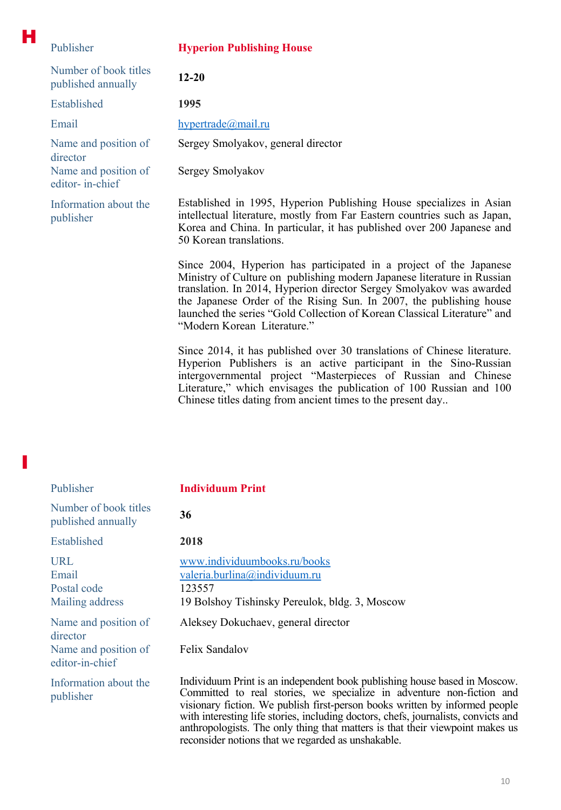| Publisher                                   | <b>Hyperion Publishing House</b>                                                                                                                                                                                                                      |
|---------------------------------------------|-------------------------------------------------------------------------------------------------------------------------------------------------------------------------------------------------------------------------------------------------------|
| Number of book titles<br>published annually | $12 - 20$                                                                                                                                                                                                                                             |
| <b>Established</b>                          | 1995                                                                                                                                                                                                                                                  |
| Email                                       | hypertrade@mail.ru                                                                                                                                                                                                                                    |
| Name and position of<br>director            | Sergey Smolyakov, general director                                                                                                                                                                                                                    |
| Name and position of<br>editor- in-chief    | Sergey Smolyakov                                                                                                                                                                                                                                      |
| Information about the<br>publisher          | Established in 1995, Hyperion Publishing House specializes in Asian<br>intellectual literature, mostly from Far Eastern countries such as Japan,<br>Korea and China. In particular, it has published over 200 Japanese and<br>50 Korean translations. |
|                                             | Since 2004, Hyperion has participated in a project of the Japanese<br>Ministry of Culture on publishing modern Japanese literature in Russian<br>translation. In 2014, Hyperion director Sergey Smolyakov was awarded                                 |

H

I

"Modern Korean Literature." Since 2014, it has published over 30 translations of Chinese literature. Hyperion Publishers is an active participant in the Sino-Russian intergovernmental project "Masterpieces of Russian and Chinese Literature," which envisages the publication of 100 Russian and 100

Chinese titles dating from ancient times to the present day..

the Japanese Order of the Rising Sun. In 2007, the publishing house launched the series "Gold Collection of Korean Classical Literature" and

| Publisher                                                | <b>Individuum Print</b>                                                                                                                                                                                                                                                                                                                                                                                                                                        |
|----------------------------------------------------------|----------------------------------------------------------------------------------------------------------------------------------------------------------------------------------------------------------------------------------------------------------------------------------------------------------------------------------------------------------------------------------------------------------------------------------------------------------------|
| Number of book titles<br>published annually              | 36                                                                                                                                                                                                                                                                                                                                                                                                                                                             |
| Established                                              | 2018                                                                                                                                                                                                                                                                                                                                                                                                                                                           |
| <b>URL</b><br>Email<br>Postal code<br>Mailing address    | www.individuumbooks.ru/books<br>valeria.burlina@individuum.ru<br>123557<br>19 Bolshoy Tishinsky Pereulok, bldg. 3, Moscow                                                                                                                                                                                                                                                                                                                                      |
| Name and position of<br>director<br>Name and position of | Aleksey Dokuchaev, general director<br>Felix Sandalov                                                                                                                                                                                                                                                                                                                                                                                                          |
| editor-in-chief                                          |                                                                                                                                                                                                                                                                                                                                                                                                                                                                |
| Information about the<br>publisher                       | Individuum Print is an independent book publishing house based in Moscow.<br>Committed to real stories, we specialize in adventure non-fiction and<br>visionary fiction. We publish first-person books written by informed people<br>with interesting life stories, including doctors, chefs, journalists, convicts and<br>anthropologists. The only thing that matters is that their viewpoint makes us<br>reconsider notions that we regarded as unshakable. |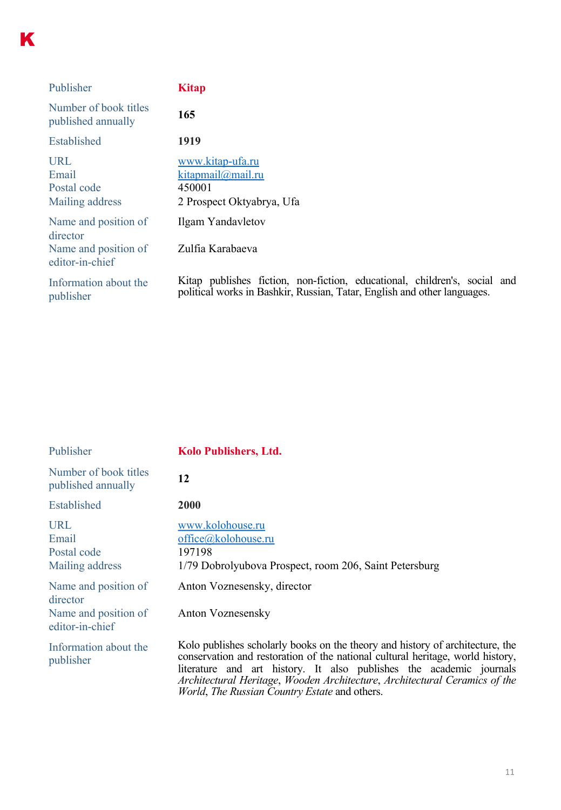| Publisher                                      | <b>Kitap</b>                                                                                                                                          |
|------------------------------------------------|-------------------------------------------------------------------------------------------------------------------------------------------------------|
| Number of book titles<br>published annually    | 165                                                                                                                                                   |
| Established                                    | 1919                                                                                                                                                  |
| URL<br>Email<br>Postal code<br>Mailing address | www.kitap-ufa.ru<br>kitapmail@mail.ru<br>450001<br>2 Prospect Oktyabrya, Ufa                                                                          |
| Name and position of<br>director               | Ilgam Yandavletov                                                                                                                                     |
| Name and position of<br>editor-in-chief        | Zulfia Karabaeva                                                                                                                                      |
| Information about the<br>publisher             | Kitap publishes fiction, non-fiction, educational, children's, social and<br>political works in Bashkir, Russian, Tatar, English and other languages. |

| Publisher                                             | <b>Kolo Publishers, Ltd.</b>                                                                                                                                                                                                                                                                                                                                                 |
|-------------------------------------------------------|------------------------------------------------------------------------------------------------------------------------------------------------------------------------------------------------------------------------------------------------------------------------------------------------------------------------------------------------------------------------------|
| Number of book titles<br>published annually           | 12                                                                                                                                                                                                                                                                                                                                                                           |
| <b>Established</b>                                    | <b>2000</b>                                                                                                                                                                                                                                                                                                                                                                  |
| <b>URL</b><br>Email<br>Postal code<br>Mailing address | www.kolohouse.ru<br>office@kolohouse.ru<br>197198<br>1/79 Dobrolyubova Prospect, room 206, Saint Petersburg                                                                                                                                                                                                                                                                  |
| Name and position of<br>director                      | Anton Voznesensky, director                                                                                                                                                                                                                                                                                                                                                  |
| Name and position of<br>editor-in-chief               | <b>Anton Voznesensky</b>                                                                                                                                                                                                                                                                                                                                                     |
| Information about the<br>publisher                    | Kolo publishes scholarly books on the theory and history of architecture, the<br>conservation and restoration of the national cultural heritage, world history,<br>literature and art history. It also publishes the academic journals<br>Architectural Heritage, Wooden Architecture, Architectural Ceramics of the<br><i>World, The Russian Country Estate and others.</i> |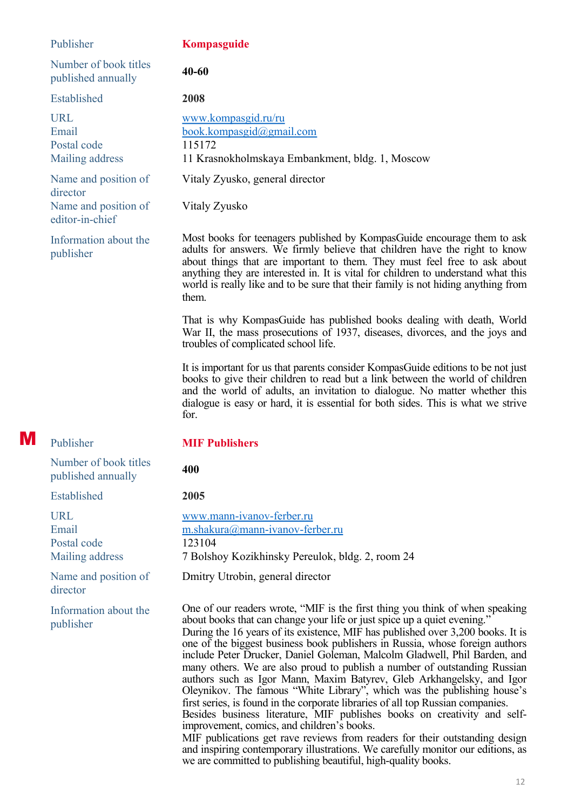|   | Publisher                                                                   | Kompasguide                                                                                                                                                                                                                                                                                                                                                                                                                                                                                                                                                                                                                                                                                                                                                                                                                                                                                                                                                                                                              |
|---|-----------------------------------------------------------------------------|--------------------------------------------------------------------------------------------------------------------------------------------------------------------------------------------------------------------------------------------------------------------------------------------------------------------------------------------------------------------------------------------------------------------------------------------------------------------------------------------------------------------------------------------------------------------------------------------------------------------------------------------------------------------------------------------------------------------------------------------------------------------------------------------------------------------------------------------------------------------------------------------------------------------------------------------------------------------------------------------------------------------------|
|   | Number of book titles<br>published annually                                 | $40 - 60$                                                                                                                                                                                                                                                                                                                                                                                                                                                                                                                                                                                                                                                                                                                                                                                                                                                                                                                                                                                                                |
|   | Established                                                                 | 2008                                                                                                                                                                                                                                                                                                                                                                                                                                                                                                                                                                                                                                                                                                                                                                                                                                                                                                                                                                                                                     |
|   | <b>URL</b><br>Email<br>Postal code<br>Mailing address                       | www.kompasgid.ru/ru<br>book.kompasgid@gmail.com<br>115172<br>11 Krasnokholmskaya Embankment, bldg. 1, Moscow                                                                                                                                                                                                                                                                                                                                                                                                                                                                                                                                                                                                                                                                                                                                                                                                                                                                                                             |
|   | Name and position of<br>director<br>Name and position of<br>editor-in-chief | Vitaly Zyusko, general director<br>Vitaly Zyusko                                                                                                                                                                                                                                                                                                                                                                                                                                                                                                                                                                                                                                                                                                                                                                                                                                                                                                                                                                         |
|   | Information about the<br>publisher                                          | Most books for teenagers published by KompasGuide encourage them to ask<br>adults for answers. We firmly believe that children have the right to know<br>about things that are important to them. They must feel free to ask about<br>anything they are interested in. It is vital for children to understand what this<br>world is really like and to be sure that their family is not hiding anything from<br>them.                                                                                                                                                                                                                                                                                                                                                                                                                                                                                                                                                                                                    |
|   |                                                                             | That is why KompasGuide has published books dealing with death, World<br>War II, the mass prosecutions of 1937, diseases, divorces, and the joys and<br>troubles of complicated school life.                                                                                                                                                                                                                                                                                                                                                                                                                                                                                                                                                                                                                                                                                                                                                                                                                             |
|   |                                                                             | It is important for us that parents consider Kompas Guide editions to be not just<br>books to give their children to read but a link between the world of children<br>and the world of adults, an invitation to dialogue. No matter whether this<br>dialogue is easy or hard, it is essential for both sides. This is what we strive<br>for.                                                                                                                                                                                                                                                                                                                                                                                                                                                                                                                                                                                                                                                                             |
| M | Publisher                                                                   | <b>MIF Publishers</b>                                                                                                                                                                                                                                                                                                                                                                                                                                                                                                                                                                                                                                                                                                                                                                                                                                                                                                                                                                                                    |
|   | Number of book titles<br>published annually                                 | 400                                                                                                                                                                                                                                                                                                                                                                                                                                                                                                                                                                                                                                                                                                                                                                                                                                                                                                                                                                                                                      |
|   | Established                                                                 | 2005                                                                                                                                                                                                                                                                                                                                                                                                                                                                                                                                                                                                                                                                                                                                                                                                                                                                                                                                                                                                                     |
|   | <b>URL</b><br>Email<br>Postal code<br>Mailing address                       | www.mann-ivanov-ferber.ru<br>m.shakura@mann-ivanov-ferber.ru<br>123104<br>7 Bolshoy Kozikhinsky Pereulok, bldg. 2, room 24                                                                                                                                                                                                                                                                                                                                                                                                                                                                                                                                                                                                                                                                                                                                                                                                                                                                                               |
|   | Name and position of<br>director                                            | Dmitry Utrobin, general director                                                                                                                                                                                                                                                                                                                                                                                                                                                                                                                                                                                                                                                                                                                                                                                                                                                                                                                                                                                         |
|   | Information about the<br>publisher                                          | One of our readers wrote, "MIF is the first thing you think of when speaking<br>about books that can change your life or just spice up a quiet evening."<br>During the 16 years of its existence, MIF has published over 3,200 books. It is<br>one of the biggest business book publishers in Russia, whose foreign authors<br>include Peter Drucker, Daniel Goleman, Malcolm Gladwell, Phil Barden, and<br>many others. We are also proud to publish a number of outstanding Russian<br>authors such as Igor Mann, Maxim Batyrev, Gleb Arkhangelsky, and Igor<br>Oleynikov. The famous "White Library", which was the publishing house's<br>first series, is found in the corporate libraries of all top Russian companies.<br>Besides business literature, MIF publishes books on creativity and self-<br>improvement, comics, and children's books.<br>MIF publications get rave reviews from readers for their outstanding design<br>and inspiring contemporary illustrations. We carefully monitor our editions, as |

we are committed to publishing beautiful, high-quality books.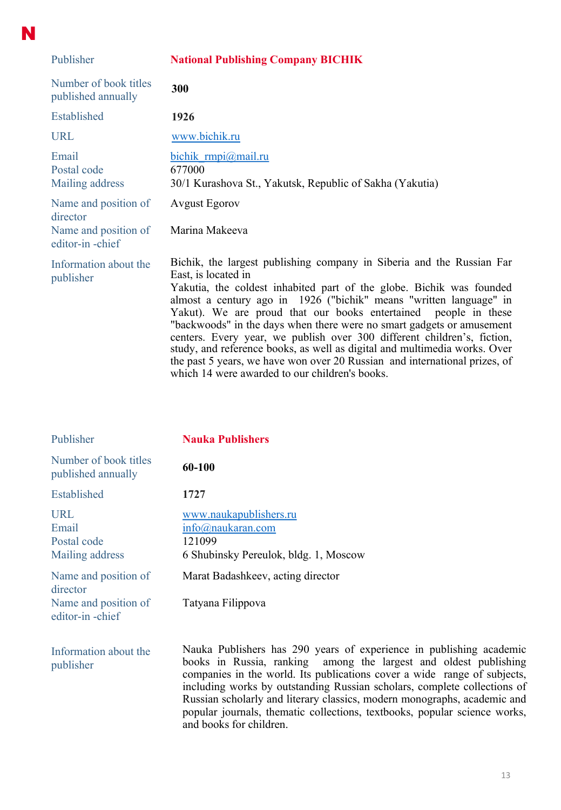| Publisher                                                                   | <b>National Publishing Company BICHIK</b>                                                                                                                                                                                                                                                                                                                                                                                                                                                                                                                                                                                                                                      |
|-----------------------------------------------------------------------------|--------------------------------------------------------------------------------------------------------------------------------------------------------------------------------------------------------------------------------------------------------------------------------------------------------------------------------------------------------------------------------------------------------------------------------------------------------------------------------------------------------------------------------------------------------------------------------------------------------------------------------------------------------------------------------|
| Number of book titles<br>published annually                                 | 300                                                                                                                                                                                                                                                                                                                                                                                                                                                                                                                                                                                                                                                                            |
| Established                                                                 | 1926                                                                                                                                                                                                                                                                                                                                                                                                                                                                                                                                                                                                                                                                           |
| <b>URL</b>                                                                  | www.bichik.ru                                                                                                                                                                                                                                                                                                                                                                                                                                                                                                                                                                                                                                                                  |
| Email<br>Postal code<br>Mailing address                                     | bichik rmpi@mail.ru<br>677000<br>30/1 Kurashova St., Yakutsk, Republic of Sakha (Yakutia)                                                                                                                                                                                                                                                                                                                                                                                                                                                                                                                                                                                      |
| Name and position of<br>director<br>Name and position of<br>editor-in-chief | <b>Avgust Egorov</b><br>Marina Makeeva                                                                                                                                                                                                                                                                                                                                                                                                                                                                                                                                                                                                                                         |
| Information about the<br>publisher                                          | Bichik, the largest publishing company in Siberia and the Russian Far<br>East, is located in<br>Yakutia, the coldest inhabited part of the globe. Bichik was founded<br>almost a century ago in 1926 ("bichik" means "written language" in<br>Yakut). We are proud that our books entertained people in these<br>"backwoods" in the days when there were no smart gadgets or amusement<br>centers. Every year, we publish over 300 different children's, fiction,<br>study, and reference books, as well as digital and multimedia works. Over<br>the past 5 years, we have won over 20 Russian and international prizes, of<br>which 14 were awarded to our children's books. |

N

| Publisher                                                                   | <b>Nauka Publishers</b>                                                                                                                                                                                                                                                                                                                                                                                                                                                             |
|-----------------------------------------------------------------------------|-------------------------------------------------------------------------------------------------------------------------------------------------------------------------------------------------------------------------------------------------------------------------------------------------------------------------------------------------------------------------------------------------------------------------------------------------------------------------------------|
| Number of book titles<br>published annually                                 | 60-100                                                                                                                                                                                                                                                                                                                                                                                                                                                                              |
| Established                                                                 | 1727                                                                                                                                                                                                                                                                                                                                                                                                                                                                                |
| URL<br>Email<br>Postal code<br>Mailing address                              | www.naukapublishers.ru<br>info@naukaran.com<br>121099<br>6 Shubinsky Pereulok, bldg. 1, Moscow                                                                                                                                                                                                                                                                                                                                                                                      |
| Name and position of<br>director<br>Name and position of<br>editor-in-chief | Marat Badashkeev, acting director<br>Tatyana Filippova                                                                                                                                                                                                                                                                                                                                                                                                                              |
| Information about the<br>publisher                                          | Nauka Publishers has 290 years of experience in publishing academic<br>books in Russia, ranking among the largest and oldest publishing<br>companies in the world. Its publications cover a wide range of subjects,<br>including works by outstanding Russian scholars, complete collections of<br>Russian scholarly and literary classics, modern monographs, academic and<br>popular journals, thematic collections, textbooks, popular science works,<br>and books for children. |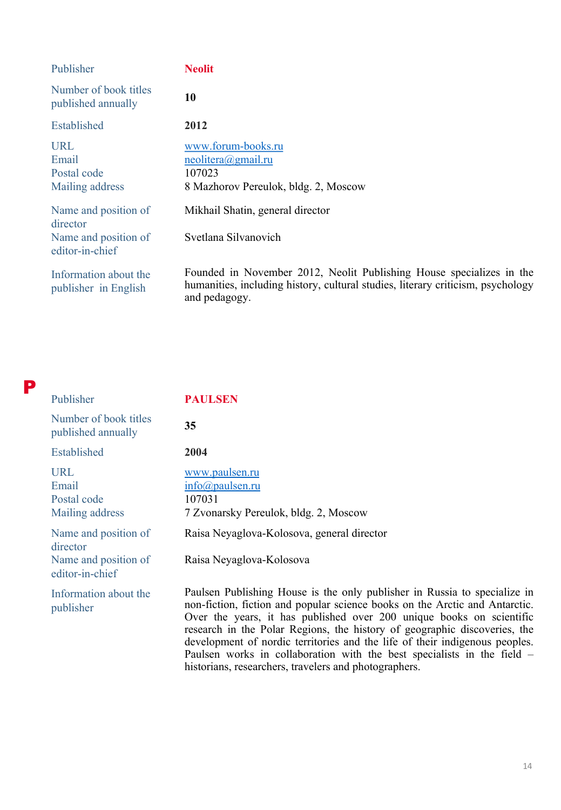| Publisher                                             | <b>Neolit</b>                                                                                                                                                            |
|-------------------------------------------------------|--------------------------------------------------------------------------------------------------------------------------------------------------------------------------|
| Number of book titles<br>published annually           | 10                                                                                                                                                                       |
| Established                                           | 2012                                                                                                                                                                     |
| <b>URL</b><br>Email<br>Postal code<br>Mailing address | www.forum-books.ru<br>$neolitera(\partial gmail.ru)$<br>107023<br>8 Mazhorov Pereulok, bldg. 2, Moscow                                                                   |
| Name and position of<br>director                      | Mikhail Shatin, general director                                                                                                                                         |
| Name and position of<br>editor-in-chief               | Svetlana Silvanovich                                                                                                                                                     |
| Information about the<br>publisher in English         | Founded in November 2012, Neolit Publishing House specializes in the<br>humanities, including history, cultural studies, literary criticism, psychology<br>and pedagogy. |

P

Publisher **PAULSEN**

| Number of book titles<br>published annually    | 35                                                                                                                                                                                                                                                                                                                                                                                                                                                                      |
|------------------------------------------------|-------------------------------------------------------------------------------------------------------------------------------------------------------------------------------------------------------------------------------------------------------------------------------------------------------------------------------------------------------------------------------------------------------------------------------------------------------------------------|
| <b>Established</b>                             | 2004                                                                                                                                                                                                                                                                                                                                                                                                                                                                    |
| URL<br>Email<br>Postal code<br>Mailing address | www.paulsen.ru<br>$info(a)$ paulsen.ru<br>107031<br>7 Zvonarsky Pereulok, bldg. 2, Moscow                                                                                                                                                                                                                                                                                                                                                                               |
| Name and position of<br>director               | Raisa Neyaglova-Kolosova, general director                                                                                                                                                                                                                                                                                                                                                                                                                              |
| Name and position of<br>editor-in-chief        | Raisa Neyaglova-Kolosova                                                                                                                                                                                                                                                                                                                                                                                                                                                |
| Information about the<br>publisher             | Paulsen Publishing House is the only publisher in Russia to specialize in<br>non-fiction, fiction and popular science books on the Arctic and Antarctic.<br>Over the years, it has published over 200 unique books on scientific<br>research in the Polar Regions, the history of geographic discoveries, the<br>development of nordic territories and the life of their indigenous peoples.<br>Paulsen works in collaboration with the best specialists in the field – |

historians, researchers, travelers and photographers.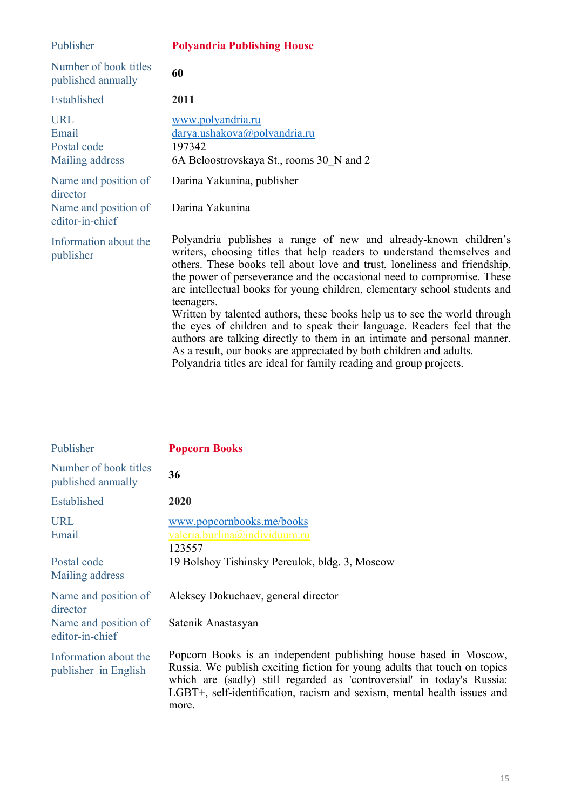| Publisher                                                                   | <b>Polyandria Publishing House</b>                                                                                                                                                                                                                                                                                                                                                                                                                                                                                                                                                                                                                                                                                                                                             |
|-----------------------------------------------------------------------------|--------------------------------------------------------------------------------------------------------------------------------------------------------------------------------------------------------------------------------------------------------------------------------------------------------------------------------------------------------------------------------------------------------------------------------------------------------------------------------------------------------------------------------------------------------------------------------------------------------------------------------------------------------------------------------------------------------------------------------------------------------------------------------|
| Number of book titles<br>published annually                                 | 60                                                                                                                                                                                                                                                                                                                                                                                                                                                                                                                                                                                                                                                                                                                                                                             |
| Established                                                                 | 2011                                                                                                                                                                                                                                                                                                                                                                                                                                                                                                                                                                                                                                                                                                                                                                           |
| <b>URL</b><br>Email<br>Postal code<br>Mailing address                       | www.polyandria.ru<br>darya.ushakova@polyandria.ru<br>197342<br>6A Beloostrovskaya St., rooms 30 N and 2                                                                                                                                                                                                                                                                                                                                                                                                                                                                                                                                                                                                                                                                        |
| Name and position of<br>director<br>Name and position of<br>editor-in-chief | Darina Yakunina, publisher<br>Darina Yakunina                                                                                                                                                                                                                                                                                                                                                                                                                                                                                                                                                                                                                                                                                                                                  |
| Information about the<br>publisher                                          | Polyandria publishes a range of new and already-known children's<br>writers, choosing titles that help readers to understand themselves and<br>others. These books tell about love and trust, loneliness and friendship,<br>the power of perseverance and the occasional need to compromise. These<br>are intellectual books for young children, elementary school students and<br>teenagers.<br>Written by talented authors, these books help us to see the world through<br>the eyes of children and to speak their language. Readers feel that the<br>authors are talking directly to them in an intimate and personal manner.<br>As a result, our books are appreciated by both children and adults.<br>Polyandria titles are ideal for family reading and group projects. |

| Publisher                                     | <b>Popcorn Books</b>                                                                                                                                                                                                                                                                                         |
|-----------------------------------------------|--------------------------------------------------------------------------------------------------------------------------------------------------------------------------------------------------------------------------------------------------------------------------------------------------------------|
| Number of book titles<br>published annually   | 36                                                                                                                                                                                                                                                                                                           |
| Established                                   | 2020                                                                                                                                                                                                                                                                                                         |
| <b>URL</b><br>Email<br>Postal code            | www.popcornbooks.me/books<br>valeria.burlina@individuum.ru<br>123557<br>19 Bolshoy Tishinsky Pereulok, bldg. 3, Moscow                                                                                                                                                                                       |
| Mailing address                               |                                                                                                                                                                                                                                                                                                              |
| Name and position of<br>director              | Aleksey Dokuchaev, general director                                                                                                                                                                                                                                                                          |
| Name and position of<br>editor-in-chief       | Satenik Anastasyan                                                                                                                                                                                                                                                                                           |
| Information about the<br>publisher in English | Popcorn Books is an independent publishing house based in Moscow,<br>Russia. We publish exciting fiction for young adults that touch on topics<br>which are (sadly) still regarded as 'controversial' in today's Russia:<br>LGBT+, self-identification, racism and sexism, mental health issues and<br>more. |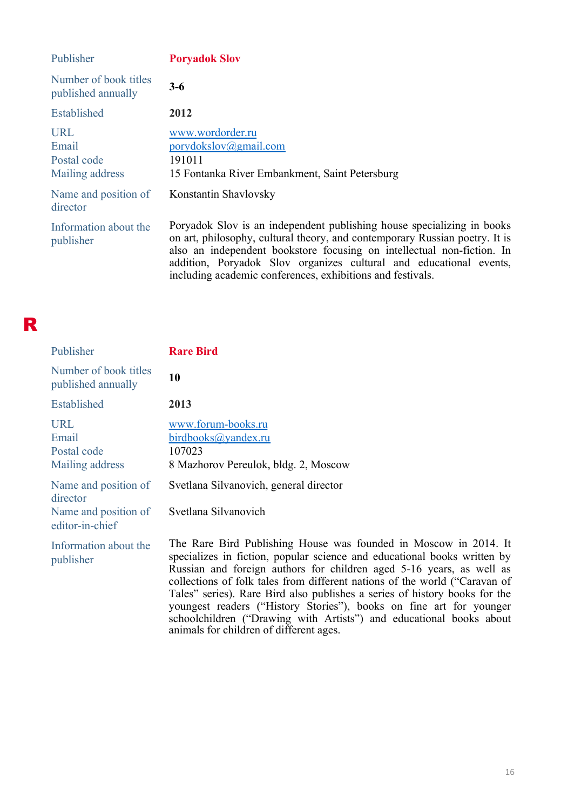| Publisher                                      | <b>Poryadok Slov</b>                                                                                                                                                                                                                                                                                  |
|------------------------------------------------|-------------------------------------------------------------------------------------------------------------------------------------------------------------------------------------------------------------------------------------------------------------------------------------------------------|
| Number of book titles<br>published annually    | $3-6$                                                                                                                                                                                                                                                                                                 |
| Established                                    | 2012                                                                                                                                                                                                                                                                                                  |
| URL<br>Email<br>Postal code<br>Mailing address | www.wordorder.ru<br>porydokslov@gmail.com<br>191011<br>15 Fontanka River Embankment, Saint Petersburg                                                                                                                                                                                                 |
| Name and position of<br>director               | Konstantin Shavlovsky                                                                                                                                                                                                                                                                                 |
| Information about the<br>publisher             | Poryadok Slov is an independent publishing house specializing in books<br>on art, philosophy, cultural theory, and contemporary Russian poetry. It is<br>also an independent bookstore focusing on intellectual non-fiction. In<br>addition, Poryadok Slov organizes cultural and educational events, |

including academic conferences, exhibitions and festivals.

## R

| Publisher                                      | <b>Rare Bird</b>                                                                                                                                                                                                                                                                                                                                                                 |
|------------------------------------------------|----------------------------------------------------------------------------------------------------------------------------------------------------------------------------------------------------------------------------------------------------------------------------------------------------------------------------------------------------------------------------------|
| Number of book titles<br>published annually    | 10                                                                                                                                                                                                                                                                                                                                                                               |
| Established                                    | 2013                                                                                                                                                                                                                                                                                                                                                                             |
| URL<br>Email<br>Postal code<br>Mailing address | www.forum-books.ru<br>birdbooks@yandex.ru<br>107023<br>8 Mazhorov Pereulok, bldg. 2, Moscow                                                                                                                                                                                                                                                                                      |
| Name and position of<br>director               | Svetlana Silvanovich, general director                                                                                                                                                                                                                                                                                                                                           |
| Name and position of<br>editor-in-chief        | Svetlana Silvanovich                                                                                                                                                                                                                                                                                                                                                             |
| Information about the<br>publisher             | The Rare Bird Publishing House was founded in Moscow in 2014. It<br>specializes in fiction, popular science and educational books written by<br>Russian and foreign authors for children aged 5-16 years, as well as<br>collections of folk tales from different nations of the world ("Caravan of<br>Tales" series). Rare Bird also publishes a series of history books for the |

animals for children of different ages.

youngest readers ("History Stories"), books on fine art for younger

schoolchildren ("Drawing with Artists") and educational books about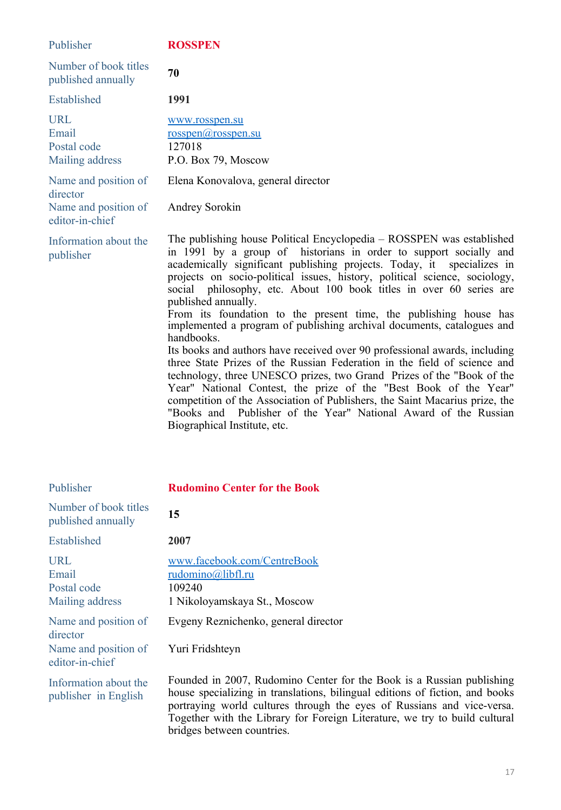| Publisher                                             | <b>ROSSPEN</b>                                                                                                                                                                                                                                                                                                                                                                                                                                                                                                                                                                                                                                                                                                                                                                                                                                                                                                                                                                                                                                            |
|-------------------------------------------------------|-----------------------------------------------------------------------------------------------------------------------------------------------------------------------------------------------------------------------------------------------------------------------------------------------------------------------------------------------------------------------------------------------------------------------------------------------------------------------------------------------------------------------------------------------------------------------------------------------------------------------------------------------------------------------------------------------------------------------------------------------------------------------------------------------------------------------------------------------------------------------------------------------------------------------------------------------------------------------------------------------------------------------------------------------------------|
| Number of book titles<br>published annually           | 70                                                                                                                                                                                                                                                                                                                                                                                                                                                                                                                                                                                                                                                                                                                                                                                                                                                                                                                                                                                                                                                        |
| Established                                           | 1991                                                                                                                                                                                                                                                                                                                                                                                                                                                                                                                                                                                                                                                                                                                                                                                                                                                                                                                                                                                                                                                      |
| <b>URL</b><br>Email<br>Postal code<br>Mailing address | www.rosspen.su<br>$\overline{\text{rosspen}(a)}$ rosspen.su<br>127018<br>P.O. Box 79, Moscow                                                                                                                                                                                                                                                                                                                                                                                                                                                                                                                                                                                                                                                                                                                                                                                                                                                                                                                                                              |
| Name and position of<br>director                      | Elena Konovalova, general director                                                                                                                                                                                                                                                                                                                                                                                                                                                                                                                                                                                                                                                                                                                                                                                                                                                                                                                                                                                                                        |
| Name and position of<br>editor-in-chief               | Andrey Sorokin                                                                                                                                                                                                                                                                                                                                                                                                                                                                                                                                                                                                                                                                                                                                                                                                                                                                                                                                                                                                                                            |
| Information about the<br>publisher                    | The publishing house Political Encyclopedia – ROSSPEN was established<br>in 1991 by a group of historians in order to support socially and<br>academically significant publishing projects. Today, it specializes in<br>projects on socio-political issues, history, political science, sociology,<br>social philosophy, etc. About 100 book titles in over 60 series are<br>published annually.<br>From its foundation to the present time, the publishing house has<br>implemented a program of publishing archival documents, catalogues and<br>handbooks.<br>Its books and authors have received over 90 professional awards, including<br>three State Prizes of the Russian Federation in the field of science and<br>technology, three UNESCO prizes, two Grand Prizes of the "Book of the<br>Year" National Contest, the prize of the "Best Book of the Year"<br>competition of the Association of Publishers, the Saint Macarius prize, the<br>Publisher of the Year" National Award of the Russian<br>"Books and<br>Biographical Institute, etc. |

| Publisher                                             | <b>Rudomino Center for the Book</b>                                                                                                                                                                                                                                                                                                         |
|-------------------------------------------------------|---------------------------------------------------------------------------------------------------------------------------------------------------------------------------------------------------------------------------------------------------------------------------------------------------------------------------------------------|
| Number of book titles<br>published annually           | 15                                                                                                                                                                                                                                                                                                                                          |
| Established                                           | 2007                                                                                                                                                                                                                                                                                                                                        |
| <b>URL</b><br>Email<br>Postal code<br>Mailing address | www.facebook.com/CentreBook<br>rudomino@libfl.ru<br>109240<br>1 Nikoloyamskaya St., Moscow                                                                                                                                                                                                                                                  |
| Name and position of<br>director                      | Evgeny Reznichenko, general director                                                                                                                                                                                                                                                                                                        |
| Name and position of<br>editor-in-chief               | Yuri Fridshteyn                                                                                                                                                                                                                                                                                                                             |
| Information about the<br>publisher in English         | Founded in 2007, Rudomino Center for the Book is a Russian publishing<br>house specializing in translations, bilingual editions of fiction, and books<br>portraying world cultures through the eyes of Russians and vice-versa.<br>Together with the Library for Foreign Literature, we try to build cultural<br>bridges between countries. |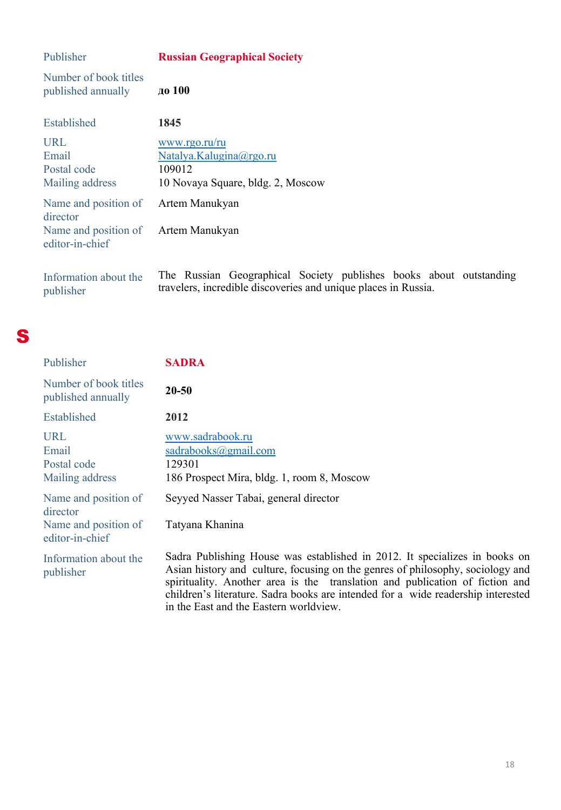| Publisher                                   | <b>Russian Geographical Society</b>                                                                                    |
|---------------------------------------------|------------------------------------------------------------------------------------------------------------------------|
| Number of book titles<br>published annually | до 100                                                                                                                 |
| Established                                 | 1845                                                                                                                   |
| <b>URL</b>                                  | www.rgo.ru/ru                                                                                                          |
| Email                                       | Natalya.Kalugina@rgo.ru                                                                                                |
| Postal code                                 | 109012                                                                                                                 |
| Mailing address                             | 10 Novaya Square, bldg. 2, Moscow                                                                                      |
| Name and position of<br>director            | Artem Manukyan                                                                                                         |
| Name and position of<br>editor-in-chief     | Artem Manukyan                                                                                                         |
| Information about the<br>publisher          | The Russian Geographical Society publishes books all<br>travelers, incredible discoveries and unique places in Russia. |



| Publisher                                      | <b>SADRA</b>                                                                                     |
|------------------------------------------------|--------------------------------------------------------------------------------------------------|
| Number of book titles<br>published annually    | 20-50                                                                                            |
| Established                                    | 2012                                                                                             |
| URL<br>Email<br>Postal code<br>Mailing address | www.sadrabook.ru<br>sadrabooks@gmail.com<br>129301<br>186 Prospect Mira, bldg. 1, room 8, Moscow |
| Name and position of<br>director               | Seyyed Nasser Tabai, general director                                                            |
| Name and position of<br>editor-in-chief        | Tatyana Khanina                                                                                  |

Information about the publisher Sadra Publishing House was established in 2012. It specializes in books on Asian history and culture, focusing on the genres of philosophy, sociology and spirituality. Another area is the translation and publication of fiction and children's literature. Sadra books are intended for a wide readership interested in the East and the Eastern worldview.

publishes books about outstanding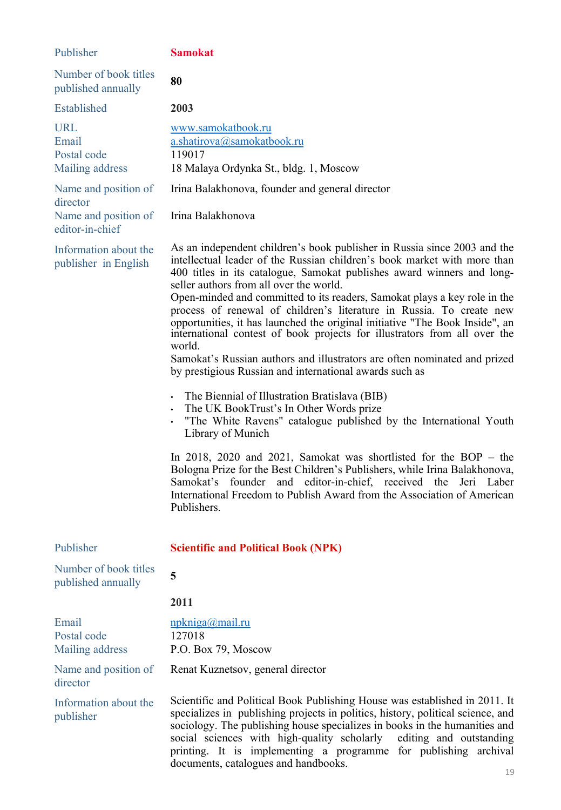| Publisher                                                                   | <b>Samokat</b>                                                                                                                                                                                                                                                                                                                                                                                                                                                                                                                                                                                                                                                                                                                                                                                                                                                                                                                                                                                                                                                                                                                                                                                                                                                |
|-----------------------------------------------------------------------------|---------------------------------------------------------------------------------------------------------------------------------------------------------------------------------------------------------------------------------------------------------------------------------------------------------------------------------------------------------------------------------------------------------------------------------------------------------------------------------------------------------------------------------------------------------------------------------------------------------------------------------------------------------------------------------------------------------------------------------------------------------------------------------------------------------------------------------------------------------------------------------------------------------------------------------------------------------------------------------------------------------------------------------------------------------------------------------------------------------------------------------------------------------------------------------------------------------------------------------------------------------------|
| Number of book titles<br>published annually                                 | 80                                                                                                                                                                                                                                                                                                                                                                                                                                                                                                                                                                                                                                                                                                                                                                                                                                                                                                                                                                                                                                                                                                                                                                                                                                                            |
| Established                                                                 | 2003                                                                                                                                                                                                                                                                                                                                                                                                                                                                                                                                                                                                                                                                                                                                                                                                                                                                                                                                                                                                                                                                                                                                                                                                                                                          |
| <b>URL</b><br>Email<br>Postal code<br>Mailing address                       | www.samokatbook.ru<br>a.shatirova@samokatbook.ru<br>119017<br>18 Malaya Ordynka St., bldg. 1, Moscow                                                                                                                                                                                                                                                                                                                                                                                                                                                                                                                                                                                                                                                                                                                                                                                                                                                                                                                                                                                                                                                                                                                                                          |
| Name and position of<br>director<br>Name and position of<br>editor-in-chief | Irina Balakhonova, founder and general director<br>Irina Balakhonova                                                                                                                                                                                                                                                                                                                                                                                                                                                                                                                                                                                                                                                                                                                                                                                                                                                                                                                                                                                                                                                                                                                                                                                          |
| Information about the<br>publisher in English                               | As an independent children's book publisher in Russia since 2003 and the<br>intellectual leader of the Russian children's book market with more than<br>400 titles in its catalogue, Samokat publishes award winners and long-<br>seller authors from all over the world.<br>Open-minded and committed to its readers, Samokat plays a key role in the<br>process of renewal of children's literature in Russia. To create new<br>opportunities, it has launched the original initiative "The Book Inside", an<br>international contest of book projects for illustrators from all over the<br>world.<br>Samokat's Russian authors and illustrators are often nominated and prized<br>by prestigious Russian and international awards such as<br>• The Biennial of Illustration Bratislava (BIB)<br>• The UK BookTrust's In Other Words prize<br>. "The White Ravens" catalogue published by the International Youth<br>Library of Munich<br>In 2018, 2020 and 2021, Samokat was shortlisted for the BOP $-$ the<br>Bologna Prize for the Best Children's Publishers, while Irina Balakhonova,<br>and editor-in-chief, received the Jeri Laber<br>Samokat's founder<br>International Freedom to Publish Award from the Association of American<br>Publishers. |
| Publisher                                                                   | <b>Scientific and Political Book (NPK)</b>                                                                                                                                                                                                                                                                                                                                                                                                                                                                                                                                                                                                                                                                                                                                                                                                                                                                                                                                                                                                                                                                                                                                                                                                                    |
| Number of book titles<br>published annually                                 | 5                                                                                                                                                                                                                                                                                                                                                                                                                                                                                                                                                                                                                                                                                                                                                                                                                                                                                                                                                                                                                                                                                                                                                                                                                                                             |
|                                                                             | 2011                                                                                                                                                                                                                                                                                                                                                                                                                                                                                                                                                                                                                                                                                                                                                                                                                                                                                                                                                                                                                                                                                                                                                                                                                                                          |
| Email<br>Postal code<br>Mailing address                                     | npkniga@mail.ru<br>127018<br>P.O. Box 79, Moscow                                                                                                                                                                                                                                                                                                                                                                                                                                                                                                                                                                                                                                                                                                                                                                                                                                                                                                                                                                                                                                                                                                                                                                                                              |
| Name and position of<br>director                                            | Renat Kuznetsov, general director                                                                                                                                                                                                                                                                                                                                                                                                                                                                                                                                                                                                                                                                                                                                                                                                                                                                                                                                                                                                                                                                                                                                                                                                                             |
| Information about the<br>publisher                                          | Scientific and Political Book Publishing House was established in 2011. It<br>specializes in publishing projects in politics, history, political science, and<br>sociology. The publishing house specializes in books in the humanities and<br>social sciences with high-quality scholarly editing and outstanding<br>printing. It is implementing a programme for publishing archival<br>documents, catalogues and handbooks.                                                                                                                                                                                                                                                                                                                                                                                                                                                                                                                                                                                                                                                                                                                                                                                                                                |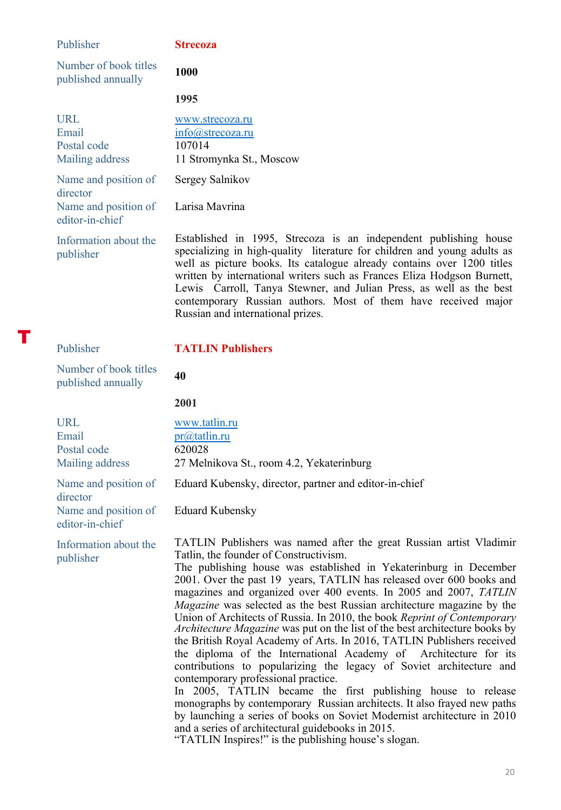| Publisher                                                                   | <b>Strecoza</b>                                                              |
|-----------------------------------------------------------------------------|------------------------------------------------------------------------------|
| Number of book titles<br>published annually                                 | 1000                                                                         |
|                                                                             | 1995                                                                         |
| URL.<br>Email<br>Postal code<br>Mailing address                             | www.strecoza.ru<br>$info@$ strecoza.ru<br>107014<br>11 Stromynka St., Moscow |
| Name and position of<br>director<br>Name and position of<br>editor-in-chief | Sergey Salnikov<br>Larisa Mayrina                                            |

Information about the Established in 1995, Strecoza is an independent publishing house specializing in high-quality literature for children and young adults as well as picture books. Its catalogue already contains over 1200 titles written by international writers such as Frances Eliza Hodgson Burnett, Lewis Carroll, Tanya Stewner, and Julian Press, as well as the best contemporary Russian authors. Most of them have received major Russian and international prizes.

T

publisher

### Publisher **TATLIN Publishers**

Number of book titles published annually **40** 

**2001**

| <b>URL</b><br>Email<br>Postal code<br>Mailing address                       | www.tatlin.ru<br>pr@tatlin.ru<br>620028<br>27 Melnikova St., room 4.2, Yekaterinburg                                                                                                                                                                                                                                                                                                                                                                                                                                                                                                                                                                                                                                                                                                                                                                                                                                                                                                                                                                                                                                                                                      |
|-----------------------------------------------------------------------------|---------------------------------------------------------------------------------------------------------------------------------------------------------------------------------------------------------------------------------------------------------------------------------------------------------------------------------------------------------------------------------------------------------------------------------------------------------------------------------------------------------------------------------------------------------------------------------------------------------------------------------------------------------------------------------------------------------------------------------------------------------------------------------------------------------------------------------------------------------------------------------------------------------------------------------------------------------------------------------------------------------------------------------------------------------------------------------------------------------------------------------------------------------------------------|
| Name and position of<br>director<br>Name and position of<br>editor-in-chief | Eduard Kubensky, director, partner and editor-in-chief<br><b>Eduard Kubensky</b>                                                                                                                                                                                                                                                                                                                                                                                                                                                                                                                                                                                                                                                                                                                                                                                                                                                                                                                                                                                                                                                                                          |
| Information about the<br>publisher                                          | TATLIN Publishers was named after the great Russian artist Vladimir<br>Tatlin, the founder of Constructivism.<br>The publishing house was established in Yekaterinburg in December<br>2001. Over the past 19 years, TATLIN has released over 600 books and<br>magazines and organized over 400 events. In 2005 and 2007, TATLIN<br>Magazine was selected as the best Russian architecture magazine by the<br>Union of Architects of Russia. In 2010, the book Reprint of Contemporary<br><i>Architecture Magazine</i> was put on the list of the best architecture books by<br>the British Royal Academy of Arts. In 2016, TATLIN Publishers received<br>the diploma of the International Academy of Architecture for its<br>contributions to popularizing the legacy of Soviet architecture and<br>contemporary professional practice.<br>In 2005, TATLIN became the first publishing house to release<br>monographs by contemporary Russian architects. It also frayed new paths<br>by launching a series of books on Soviet Modernist architecture in 2010<br>and a series of architectural guidebooks in 2015.<br>"TATLIN Inspires!" is the publishing house's slogan |

TATLIN Inspires!" is the publishing house's slogan.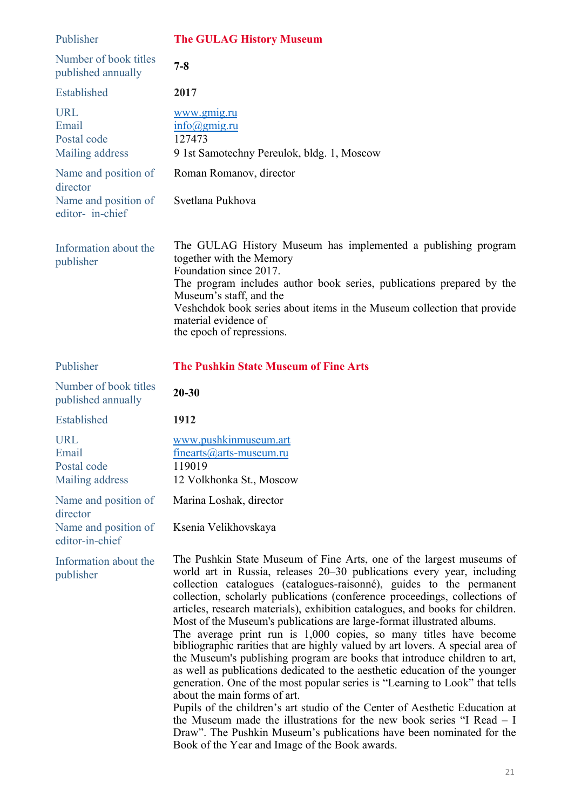| Publisher                                             | <b>The GULAG History Museum</b>                                                                                                                                                                                                                                                                                                                                                                                                                                                                                                                                                                                                                                                                                                                                                                                                                                                                                                                                                                                                                                                                                                   |
|-------------------------------------------------------|-----------------------------------------------------------------------------------------------------------------------------------------------------------------------------------------------------------------------------------------------------------------------------------------------------------------------------------------------------------------------------------------------------------------------------------------------------------------------------------------------------------------------------------------------------------------------------------------------------------------------------------------------------------------------------------------------------------------------------------------------------------------------------------------------------------------------------------------------------------------------------------------------------------------------------------------------------------------------------------------------------------------------------------------------------------------------------------------------------------------------------------|
| Number of book titles<br>published annually           | $7 - 8$                                                                                                                                                                                                                                                                                                                                                                                                                                                                                                                                                                                                                                                                                                                                                                                                                                                                                                                                                                                                                                                                                                                           |
| Established                                           | 2017                                                                                                                                                                                                                                                                                                                                                                                                                                                                                                                                                                                                                                                                                                                                                                                                                                                                                                                                                                                                                                                                                                                              |
| <b>URL</b><br>Email<br>Postal code<br>Mailing address | www.gmig.ru<br>$info(\omega$ gmig.ru<br>127473<br>9 1st Samotechny Pereulok, bldg. 1, Moscow                                                                                                                                                                                                                                                                                                                                                                                                                                                                                                                                                                                                                                                                                                                                                                                                                                                                                                                                                                                                                                      |
| Name and position of                                  | Roman Romanov, director                                                                                                                                                                                                                                                                                                                                                                                                                                                                                                                                                                                                                                                                                                                                                                                                                                                                                                                                                                                                                                                                                                           |
| director<br>Name and position of<br>editor- in-chief  | Svetlana Pukhova                                                                                                                                                                                                                                                                                                                                                                                                                                                                                                                                                                                                                                                                                                                                                                                                                                                                                                                                                                                                                                                                                                                  |
| Information about the<br>publisher                    | The GULAG History Museum has implemented a publishing program<br>together with the Memory<br>Foundation since 2017.<br>The program includes author book series, publications prepared by the<br>Museum's staff, and the<br>Veshchdok book series about items in the Museum collection that provide<br>material evidence of<br>the epoch of repressions.                                                                                                                                                                                                                                                                                                                                                                                                                                                                                                                                                                                                                                                                                                                                                                           |
| Publisher                                             | <b>The Pushkin State Museum of Fine Arts</b>                                                                                                                                                                                                                                                                                                                                                                                                                                                                                                                                                                                                                                                                                                                                                                                                                                                                                                                                                                                                                                                                                      |
| Number of book titles<br>published annually           | $20 - 30$                                                                                                                                                                                                                                                                                                                                                                                                                                                                                                                                                                                                                                                                                                                                                                                                                                                                                                                                                                                                                                                                                                                         |
| Established                                           | 1912                                                                                                                                                                                                                                                                                                                                                                                                                                                                                                                                                                                                                                                                                                                                                                                                                                                                                                                                                                                                                                                                                                                              |
| <b>URL</b><br>Email<br>Postal code<br>Mailing address | www.pushkinmuseum.art<br>$finearts@arts-museum.ru$<br>119019<br>12 Volkhonka St., Moscow                                                                                                                                                                                                                                                                                                                                                                                                                                                                                                                                                                                                                                                                                                                                                                                                                                                                                                                                                                                                                                          |
| Name and position of                                  | Marina Loshak, director                                                                                                                                                                                                                                                                                                                                                                                                                                                                                                                                                                                                                                                                                                                                                                                                                                                                                                                                                                                                                                                                                                           |
| director<br>Name and position of<br>editor-in-chief   | Ksenia Velikhovskaya                                                                                                                                                                                                                                                                                                                                                                                                                                                                                                                                                                                                                                                                                                                                                                                                                                                                                                                                                                                                                                                                                                              |
| Information about the<br>publisher                    | The Pushkin State Museum of Fine Arts, one of the largest museums of<br>world art in Russia, releases 20-30 publications every year, including<br>collection catalogues (catalogues-raisonné), guides to the permanent<br>collection, scholarly publications (conference proceedings, collections of<br>articles, research materials), exhibition catalogues, and books for children.<br>Most of the Museum's publications are large-format illustrated albums.<br>The average print run is 1,000 copies, so many titles have become<br>bibliographic rarities that are highly valued by art lovers. A special area of<br>the Museum's publishing program are books that introduce children to art,<br>as well as publications dedicated to the aesthetic education of the younger<br>generation. One of the most popular series is "Learning to Look" that tells<br>about the main forms of art.<br>Pupils of the children's art studio of the Center of Aesthetic Education at<br>the Museum made the illustrations for the new book series "I Read – I<br>Draw". The Pushkin Museum's publications have been nominated for the |

Book of the Year and Image of the Book awards.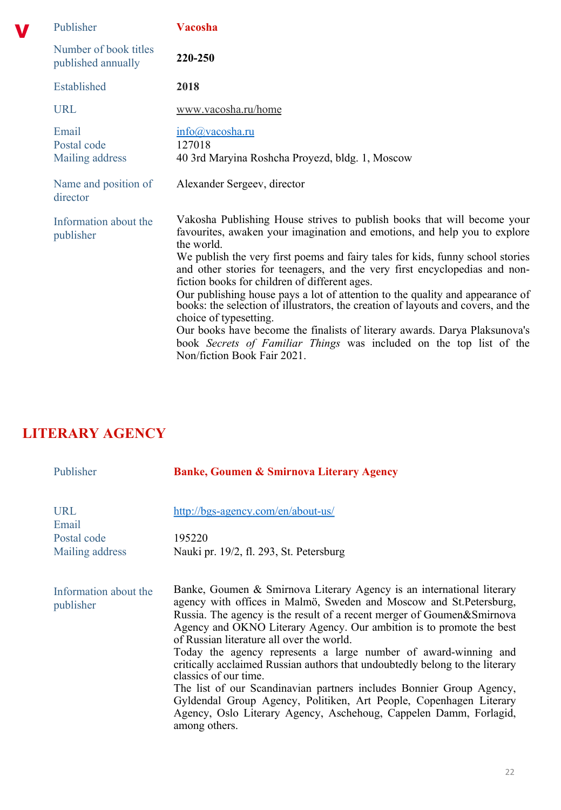| Publisher                                   | Vacosha                                                                                                                                                                                                                                                                                                                                                                                                                                                                                                                                                                                                                                                                                                                                                                 |
|---------------------------------------------|-------------------------------------------------------------------------------------------------------------------------------------------------------------------------------------------------------------------------------------------------------------------------------------------------------------------------------------------------------------------------------------------------------------------------------------------------------------------------------------------------------------------------------------------------------------------------------------------------------------------------------------------------------------------------------------------------------------------------------------------------------------------------|
| Number of book titles<br>published annually | 220-250                                                                                                                                                                                                                                                                                                                                                                                                                                                                                                                                                                                                                                                                                                                                                                 |
| Established                                 | 2018                                                                                                                                                                                                                                                                                                                                                                                                                                                                                                                                                                                                                                                                                                                                                                    |
| <b>URL</b>                                  | www.vacosha.ru/home                                                                                                                                                                                                                                                                                                                                                                                                                                                                                                                                                                                                                                                                                                                                                     |
| Email<br>Postal code<br>Mailing address     | info@vacosha.ru<br>127018<br>40 3rd Maryina Roshcha Proyezd, bldg. 1, Moscow                                                                                                                                                                                                                                                                                                                                                                                                                                                                                                                                                                                                                                                                                            |
| Name and position of<br>director            | Alexander Sergeev, director                                                                                                                                                                                                                                                                                                                                                                                                                                                                                                                                                                                                                                                                                                                                             |
| Information about the<br>publisher          | Vakosha Publishing House strives to publish books that will become your<br>favourites, awaken your imagination and emotions, and help you to explore<br>the world.<br>We publish the very first poems and fairy tales for kids, funny school stories<br>and other stories for teenagers, and the very first encyclopedias and non-<br>fiction books for children of different ages.<br>Our publishing house pays a lot of attention to the quality and appearance of<br>books: the selection of illustrators, the creation of layouts and covers, and the<br>choice of typesetting.<br>Our books have become the finalists of literary awards. Darya Plaksunova's<br>book Secrets of Familiar Things was included on the top list of the<br>Non/fiction Book Fair 2021. |

## **LITERARY AGENCY**

V

| Publisher                          | <b>Banke, Goumen &amp; Smirnova Literary Agency</b>                                                                                                                                                                                                                                                                                                                                                                                                                                                                                                                                                                                                                                                                                                         |
|------------------------------------|-------------------------------------------------------------------------------------------------------------------------------------------------------------------------------------------------------------------------------------------------------------------------------------------------------------------------------------------------------------------------------------------------------------------------------------------------------------------------------------------------------------------------------------------------------------------------------------------------------------------------------------------------------------------------------------------------------------------------------------------------------------|
| <b>URL</b><br>Email                | http://bgs-agency.com/en/about-us/                                                                                                                                                                                                                                                                                                                                                                                                                                                                                                                                                                                                                                                                                                                          |
| Postal code                        | 195220                                                                                                                                                                                                                                                                                                                                                                                                                                                                                                                                                                                                                                                                                                                                                      |
| Mailing address                    | Nauki pr. 19/2, fl. 293, St. Petersburg                                                                                                                                                                                                                                                                                                                                                                                                                                                                                                                                                                                                                                                                                                                     |
| Information about the<br>publisher | Banke, Goumen & Smirnova Literary Agency is an international literary<br>agency with offices in Malmö, Sweden and Moscow and St. Petersburg,<br>Russia. The agency is the result of a recent merger of Goumen&Smirnova<br>Agency and OKNO Literary Agency. Our ambition is to promote the best<br>of Russian literature all over the world.<br>Today the agency represents a large number of award-winning and<br>critically acclaimed Russian authors that undoubtedly belong to the literary<br>classics of our time.<br>The list of our Scandinavian partners includes Bonnier Group Agency,<br>Gyldendal Group Agency, Politiken, Art People, Copenhagen Literary<br>Agency, Oslo Literary Agency, Aschehoug, Cappelen Damm, Forlagid,<br>among others. |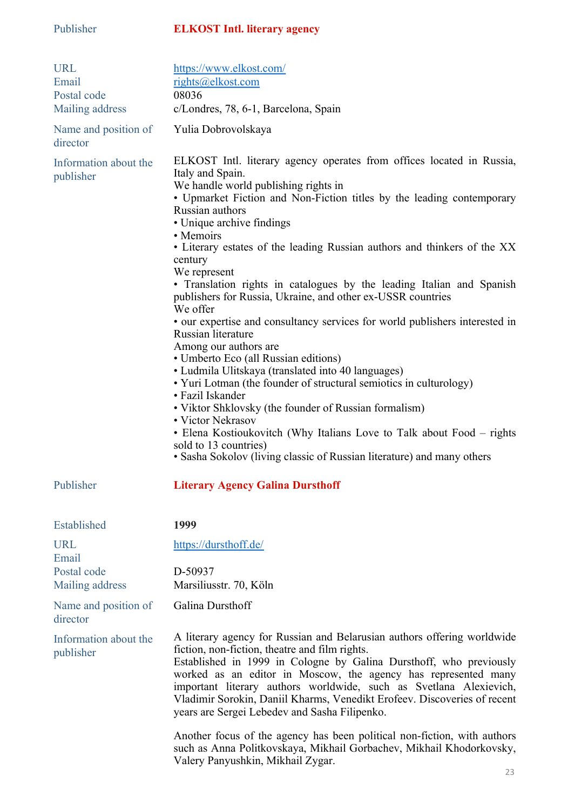### Publisher **ELKOST Intl. literary agency**

| <b>URL</b><br>Email<br>Postal code<br>Mailing address | https://www.elkost.com/<br>rights@elkost.com<br>08036<br>c/Londres, 78, 6-1, Barcelona, Spain                                                                                                                                                                                                                                                                                                                                                                                                                                                                                                                                                                                                                                                                                                                                                                                                                                                                                                                                                                                                                      |
|-------------------------------------------------------|--------------------------------------------------------------------------------------------------------------------------------------------------------------------------------------------------------------------------------------------------------------------------------------------------------------------------------------------------------------------------------------------------------------------------------------------------------------------------------------------------------------------------------------------------------------------------------------------------------------------------------------------------------------------------------------------------------------------------------------------------------------------------------------------------------------------------------------------------------------------------------------------------------------------------------------------------------------------------------------------------------------------------------------------------------------------------------------------------------------------|
| Name and position of<br>director                      | Yulia Dobrovolskaya                                                                                                                                                                                                                                                                                                                                                                                                                                                                                                                                                                                                                                                                                                                                                                                                                                                                                                                                                                                                                                                                                                |
| Information about the<br>publisher                    | ELKOST Intl. literary agency operates from offices located in Russia,<br>Italy and Spain.<br>We handle world publishing rights in<br>• Upmarket Fiction and Non-Fiction titles by the leading contemporary<br>Russian authors<br>• Unique archive findings<br>• Memoirs<br>• Literary estates of the leading Russian authors and thinkers of the XX<br>century<br>We represent<br>• Translation rights in catalogues by the leading Italian and Spanish<br>publishers for Russia, Ukraine, and other ex-USSR countries<br>We offer<br>• our expertise and consultancy services for world publishers interested in<br>Russian literature<br>Among our authors are<br>· Umberto Eco (all Russian editions)<br>• Ludmila Ulitskaya (translated into 40 languages)<br>• Yuri Lotman (the founder of structural semiotics in culturology)<br>• Fazil Iskander<br>• Viktor Shklovsky (the founder of Russian formalism)<br>• Victor Nekrasov<br>• Elena Kostioukovitch (Why Italians Love to Talk about Food - rights<br>sold to 13 countries)<br>• Sasha Sokolov (living classic of Russian literature) and many others |
| Publisher                                             | <b>Literary Agency Galina Dursthoff</b>                                                                                                                                                                                                                                                                                                                                                                                                                                                                                                                                                                                                                                                                                                                                                                                                                                                                                                                                                                                                                                                                            |
| Established                                           | 1999                                                                                                                                                                                                                                                                                                                                                                                                                                                                                                                                                                                                                                                                                                                                                                                                                                                                                                                                                                                                                                                                                                               |
| URL<br>Email                                          | https://dursthoff.de/                                                                                                                                                                                                                                                                                                                                                                                                                                                                                                                                                                                                                                                                                                                                                                                                                                                                                                                                                                                                                                                                                              |
| Postal code<br>Mailing address                        | D-50937<br>Marsiliusstr. 70, Köln                                                                                                                                                                                                                                                                                                                                                                                                                                                                                                                                                                                                                                                                                                                                                                                                                                                                                                                                                                                                                                                                                  |
| Name and position of<br>director                      | Galina Dursthoff                                                                                                                                                                                                                                                                                                                                                                                                                                                                                                                                                                                                                                                                                                                                                                                                                                                                                                                                                                                                                                                                                                   |
| Information about the<br>publisher                    | A literary agency for Russian and Belarusian authors offering worldwide<br>fiction, non-fiction, theatre and film rights.<br>Established in 1999 in Cologne by Galina Dursthoff, who previously<br>worked as an editor in Moscow, the agency has represented many<br>important literary authors worldwide, such as Svetlana Alexievich,<br>Vladimir Sorokin, Daniil Kharms, Venedikt Erofeev. Discoveries of recent<br>years are Sergei Lebedev and Sasha Filipenko.<br>Another focus of the agency has been political non-fiction, with authors                                                                                                                                                                                                                                                                                                                                                                                                                                                                                                                                                                   |
|                                                       | such as Anna Politkovskaya, Mikhail Gorbachev, Mikhail Khodorkovsky,<br>Valery Panyushkin, Mikhail Zygar.                                                                                                                                                                                                                                                                                                                                                                                                                                                                                                                                                                                                                                                                                                                                                                                                                                                                                                                                                                                                          |